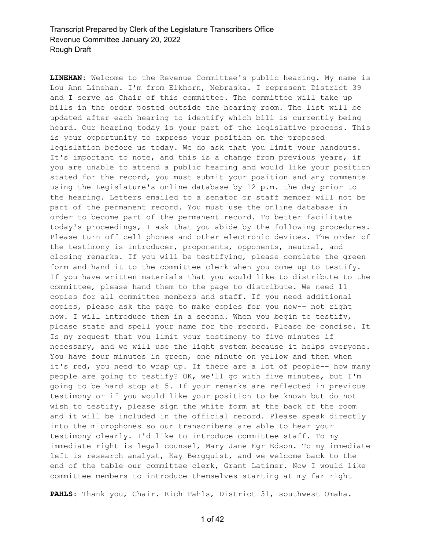**LINEHAN:** Welcome to the Revenue Committee's public hearing. My name is Lou Ann Linehan. I'm from Elkhorn, Nebraska. I represent District 39 and I serve as Chair of this committee. The committee will take up bills in the order posted outside the hearing room. The list will be updated after each hearing to identify which bill is currently being heard. Our hearing today is your part of the legislative process. This is your opportunity to express your position on the proposed legislation before us today. We do ask that you limit your handouts. It's important to note, and this is a change from previous years, if you are unable to attend a public hearing and would like your position stated for the record, you must submit your position and any comments using the Legislature's online database by 12 p.m. the day prior to the hearing. Letters emailed to a senator or staff member will not be part of the permanent record. You must use the online database in order to become part of the permanent record. To better facilitate today's proceedings, I ask that you abide by the following procedures. Please turn off cell phones and other electronic devices. The order of the testimony is introducer, proponents, opponents, neutral, and closing remarks. If you will be testifying, please complete the green form and hand it to the committee clerk when you come up to testify. If you have written materials that you would like to distribute to the committee, please hand them to the page to distribute. We need 11 copies for all committee members and staff. If you need additional copies, please ask the page to make copies for you now-- not right now. I will introduce them in a second. When you begin to testify, please state and spell your name for the record. Please be concise. It Is my request that you limit your testimony to five minutes if necessary, and we will use the light system because it helps everyone. You have four minutes in green, one minute on yellow and then when it's red, you need to wrap up. If there are a lot of people-- how many people are going to testify? OK, we'll go with five minutes, but I'm going to be hard stop at 5. If your remarks are reflected in previous testimony or if you would like your position to be known but do not wish to testify, please sign the white form at the back of the room and it will be included in the official record. Please speak directly into the microphones so our transcribers are able to hear your testimony clearly. I'd like to introduce committee staff. To my immediate right is legal counsel, Mary Jane Egr Edson. To my immediate left is research analyst, Kay Bergquist, and we welcome back to the end of the table our committee clerk, Grant Latimer. Now I would like committee members to introduce themselves starting at my far right

**PAHLS:** Thank you, Chair. Rich Pahls, District 31, southwest Omaha.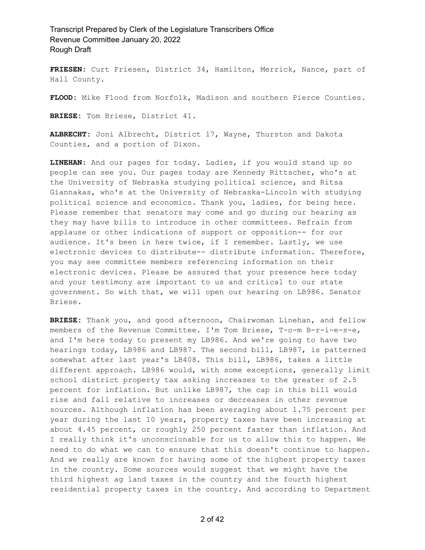**FRIESEN:** Curt Friesen, District 34, Hamilton, Merrick, Nance, part of Hall County.

**FLOOD:** Mike Flood from Norfolk, Madison and southern Pierce Counties.

**BRIESE:** Tom Briese, District 41.

**ALBRECHT:** Joni Albrecht, District 17, Wayne, Thurston and Dakota Counties, and a portion of Dixon.

**LINEHAN:** And our pages for today. Ladies, if you would stand up so people can see you. Our pages today are Kennedy Rittscher, who's at the University of Nebraska studying political science, and Ritsa Giannakas, who's at the University of Nebraska-Lincoln with studying political science and economics. Thank you, ladies, for being here. Please remember that senators may come and go during our hearing as they may have bills to introduce in other committees. Refrain from applause or other indications of support or opposition-- for our audience. It's been in here twice, if I remember. Lastly, we use electronic devices to distribute-- distribute information. Therefore, you may see committee members referencing information on their electronic devices. Please be assured that your presence here today and your testimony are important to us and critical to our state government. So with that, we will open our hearing on LB986. Senator Briese.

**BRIESE:** Thank you, and good afternoon, Chairwoman Linehan, and fellow members of the Revenue Committee. I'm Tom Briese, T-o-m B-r-i-e-s-e, and I'm here today to present my LB986. And we're going to have two hearings today, LB986 and LB987. The second bill, LB987, is patterned somewhat after last year's LB408. This bill, LB986, takes a little different approach. LB986 would, with some exceptions, generally limit school district property tax asking increases to the greater of 2.5 percent for inflation. But unlike LB987, the cap in this bill would rise and fall relative to increases or decreases in other revenue sources. Although inflation has been averaging about 1.75 percent per year during the last 10 years, property taxes have been increasing at about 4.45 percent, or roughly 250 percent faster than inflation. And I really think it's unconscionable for us to allow this to happen. We need to do what we can to ensure that this doesn't continue to happen. And we really are known for having some of the highest property taxes in the country. Some sources would suggest that we might have the third highest ag land taxes in the country and the fourth highest residential property taxes in the country. And according to Department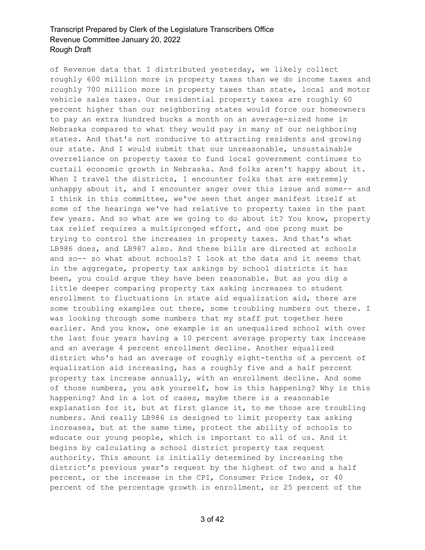of Revenue data that I distributed yesterday, we likely collect roughly 600 million more in property taxes than we do income taxes and roughly 700 million more in property taxes than state, local and motor vehicle sales taxes. Our residential property taxes are roughly 60 percent higher than our neighboring states would force our homeowners to pay an extra hundred bucks a month on an average-sized home in Nebraska compared to what they would pay in many of our neighboring states. And that's not conducive to attracting residents and growing our state. And I would submit that our unreasonable, unsustainable overreliance on property taxes to fund local government continues to curtail economic growth in Nebraska. And folks aren't happy about it. When I travel the districts, I encounter folks that are extremely unhappy about it, and I encounter anger over this issue and some-- and I think in this committee, we've seen that anger manifest itself at some of the hearings we've had relative to property taxes in the past few years. And so what are we going to do about it? You know, property tax relief requires a multipronged effort, and one prong must be trying to control the increases in property taxes. And that's what LB986 does, and LB987 also. And these bills are directed at schools and so-- so what about schools? I look at the data and it seems that in the aggregate, property tax askings by school districts it has been, you could argue they have been reasonable. But as you dig a little deeper comparing property tax asking increases to student enrollment to fluctuations in state aid equalization aid, there are some troubling examples out there, some troubling numbers out there. I was looking through some numbers that my staff put together here earlier. And you know, one example is an unequalized school with over the last four years having a 10 percent average property tax increase and an average 4 percent enrollment decline. Another equalized district who's had an average of roughly eight-tenths of a percent of equalization aid increasing, has a roughly five and a half percent property tax increase annually, with an enrollment decline. And some of those numbers, you ask yourself, how is this happening? Why is this happening? And in a lot of cases, maybe there is a reasonable explanation for it, but at first glance it, to me those are troubling numbers. And really LB986 is designed to limit property tax asking increases, but at the same time, protect the ability of schools to educate our young people, which is important to all of us. And it begins by calculating a school district property tax request authority. This amount is initially determined by increasing the district's previous year's request by the highest of two and a half percent, or the increase in the CPI, Consumer Price Index, or 40 percent of the percentage growth in enrollment, or 25 percent of the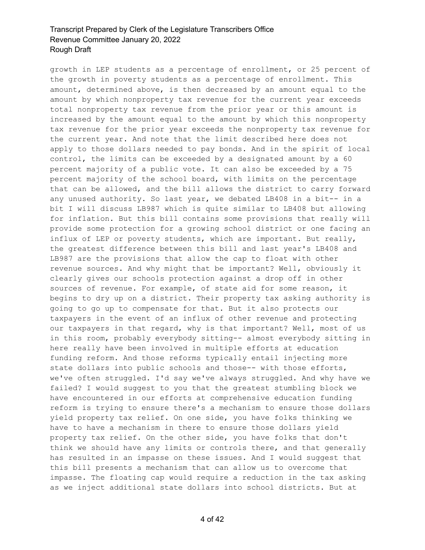growth in LEP students as a percentage of enrollment, or 25 percent of the growth in poverty students as a percentage of enrollment. This amount, determined above, is then decreased by an amount equal to the amount by which nonproperty tax revenue for the current year exceeds total nonproperty tax revenue from the prior year or this amount is increased by the amount equal to the amount by which this nonproperty tax revenue for the prior year exceeds the nonproperty tax revenue for the current year. And note that the limit described here does not apply to those dollars needed to pay bonds. And in the spirit of local control, the limits can be exceeded by a designated amount by a 60 percent majority of a public vote. It can also be exceeded by a 75 percent majority of the school board, with limits on the percentage that can be allowed, and the bill allows the district to carry forward any unused authority. So last year, we debated LB408 in a bit-- in a bit I will discuss LB987 which is quite similar to LB408 but allowing for inflation. But this bill contains some provisions that really will provide some protection for a growing school district or one facing an influx of LEP or poverty students, which are important. But really, the greatest difference between this bill and last year's LB408 and LB987 are the provisions that allow the cap to float with other revenue sources. And why might that be important? Well, obviously it clearly gives our schools protection against a drop off in other sources of revenue. For example, of state aid for some reason, it begins to dry up on a district. Their property tax asking authority is going to go up to compensate for that. But it also protects our taxpayers in the event of an influx of other revenue and protecting our taxpayers in that regard, why is that important? Well, most of us in this room, probably everybody sitting-- almost everybody sitting in here really have been involved in multiple efforts at education funding reform. And those reforms typically entail injecting more state dollars into public schools and those-- with those efforts, we've often struggled. I'd say we've always struggled. And why have we failed? I would suggest to you that the greatest stumbling block we have encountered in our efforts at comprehensive education funding reform is trying to ensure there's a mechanism to ensure those dollars yield property tax relief. On one side, you have folks thinking we have to have a mechanism in there to ensure those dollars yield property tax relief. On the other side, you have folks that don't think we should have any limits or controls there, and that generally has resulted in an impasse on these issues. And I would suggest that this bill presents a mechanism that can allow us to overcome that impasse. The floating cap would require a reduction in the tax asking as we inject additional state dollars into school districts. But at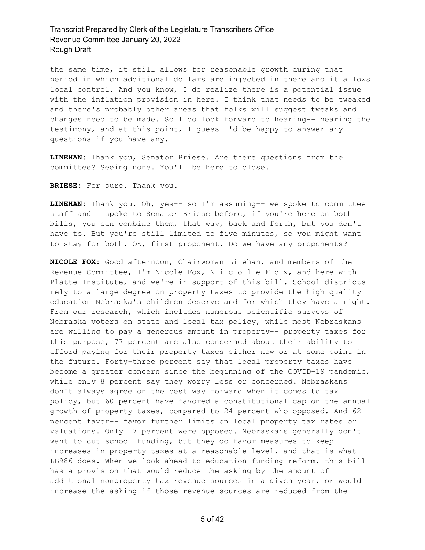the same time, it still allows for reasonable growth during that period in which additional dollars are injected in there and it allows local control. And you know, I do realize there is a potential issue with the inflation provision in here. I think that needs to be tweaked and there's probably other areas that folks will suggest tweaks and changes need to be made. So I do look forward to hearing-- hearing the testimony, and at this point, I guess I'd be happy to answer any questions if you have any.

**LINEHAN:** Thank you, Senator Briese. Are there questions from the committee? Seeing none. You'll be here to close.

**BRIESE:** For sure. Thank you.

**LINEHAN:** Thank you. Oh, yes-- so I'm assuming-- we spoke to committee staff and I spoke to Senator Briese before, if you're here on both bills, you can combine them, that way, back and forth, but you don't have to. But you're still limited to five minutes, so you might want to stay for both. OK, first proponent. Do we have any proponents?

**NICOLE FOX:** Good afternoon, Chairwoman Linehan, and members of the Revenue Committee, I'm Nicole Fox, N-i-c-o-l-e F-o-x, and here with Platte Institute, and we're in support of this bill. School districts rely to a large degree on property taxes to provide the high quality education Nebraska's children deserve and for which they have a right. From our research, which includes numerous scientific surveys of Nebraska voters on state and local tax policy, while most Nebraskans are willing to pay a generous amount in property-- property taxes for this purpose, 77 percent are also concerned about their ability to afford paying for their property taxes either now or at some point in the future. Forty-three percent say that local property taxes have become a greater concern since the beginning of the COVID-19 pandemic, while only 8 percent say they worry less or concerned. Nebraskans don't always agree on the best way forward when it comes to tax policy, but 60 percent have favored a constitutional cap on the annual growth of property taxes, compared to 24 percent who opposed. And 62 percent favor-- favor further limits on local property tax rates or valuations. Only 17 percent were opposed. Nebraskans generally don't want to cut school funding, but they do favor measures to keep increases in property taxes at a reasonable level, and that is what LB986 does. When we look ahead to education funding reform, this bill has a provision that would reduce the asking by the amount of additional nonproperty tax revenue sources in a given year, or would increase the asking if those revenue sources are reduced from the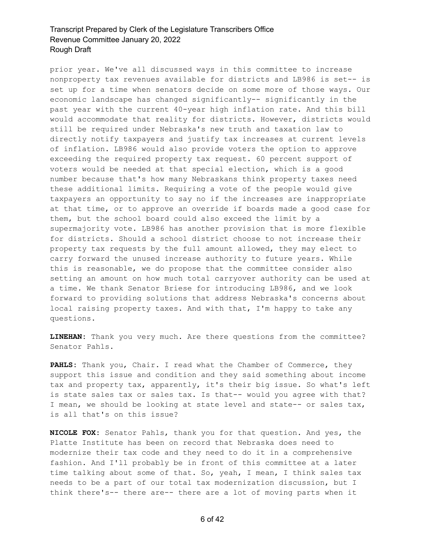prior year. We've all discussed ways in this committee to increase nonproperty tax revenues available for districts and LB986 is set-- is set up for a time when senators decide on some more of those ways. Our economic landscape has changed significantly-- significantly in the past year with the current 40-year high inflation rate. And this bill would accommodate that reality for districts. However, districts would still be required under Nebraska's new truth and taxation law to directly notify taxpayers and justify tax increases at current levels of inflation. LB986 would also provide voters the option to approve exceeding the required property tax request. 60 percent support of voters would be needed at that special election, which is a good number because that's how many Nebraskans think property taxes need these additional limits. Requiring a vote of the people would give taxpayers an opportunity to say no if the increases are inappropriate at that time, or to approve an override if boards made a good case for them, but the school board could also exceed the limit by a supermajority vote. LB986 has another provision that is more flexible for districts. Should a school district choose to not increase their property tax requests by the full amount allowed, they may elect to carry forward the unused increase authority to future years. While this is reasonable, we do propose that the committee consider also setting an amount on how much total carryover authority can be used at a time. We thank Senator Briese for introducing LB986, and we look forward to providing solutions that address Nebraska's concerns about local raising property taxes. And with that, I'm happy to take any questions.

**LINEHAN:** Thank you very much. Are there questions from the committee? Senator Pahls.

**PAHLS:** Thank you, Chair. I read what the Chamber of Commerce, they support this issue and condition and they said something about income tax and property tax, apparently, it's their big issue. So what's left is state sales tax or sales tax. Is that-- would you agree with that? I mean, we should be looking at state level and state-- or sales tax, is all that's on this issue?

**NICOLE FOX:** Senator Pahls, thank you for that question. And yes, the Platte Institute has been on record that Nebraska does need to modernize their tax code and they need to do it in a comprehensive fashion. And I'll probably be in front of this committee at a later time talking about some of that. So, yeah, I mean, I think sales tax needs to be a part of our total tax modernization discussion, but I think there's-- there are-- there are a lot of moving parts when it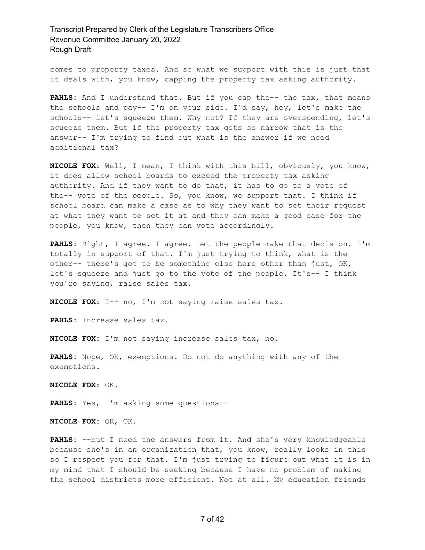comes to property taxes. And so what we support with this is just that it deals with, you know, capping the property tax asking authority.

PAHLS: And I understand that. But if you cap the-- the tax, that means the schools and pay-- I'm on your side. I'd say, hey, let's make the schools-- let's squeeze them. Why not? If they are overspending, let's squeeze them. But if the property tax gets so narrow that is the answer-- I'm trying to find out what is the answer if we need additional tax?

**NICOLE FOX:** Well, I mean, I think with this bill, obviously, you know, it does allow school boards to exceed the property tax asking authority. And if they want to do that, it has to go to a vote of the-- vote of the people. So, you know, we support that. I think if school board can make a case as to why they want to set their request at what they want to set it at and they can make a good case for the people, you know, then they can vote accordingly.

**PAHLS:** Right, I agree. I agree. Let the people make that decision. I'm totally in support of that. I'm just trying to think, what is the other-- there's got to be something else here other than just, OK, let's squeeze and just go to the vote of the people. It's-- I think you're saying, raise sales tax.

**NICOLE FOX:** I-- no, I'm not saying raise sales tax.

**PAHLS:** Increase sales tax.

**NICOLE FOX:** I'm not saying increase sales tax, no.

**PAHLS:** Nope, OK, exemptions. Do not do anything with any of the exemptions.

**NICOLE FOX:** OK.

**PAHLS:** Yes, I'm asking some questions--

**NICOLE FOX:** OK, OK.

**PAHLS:** --but I need the answers from it. And she's very knowledgeable because she's in an organization that, you know, really looks in this so I respect you for that. I'm just trying to figure out what it is in my mind that I should be seeking because I have no problem of making the school districts more efficient. Not at all. My education friends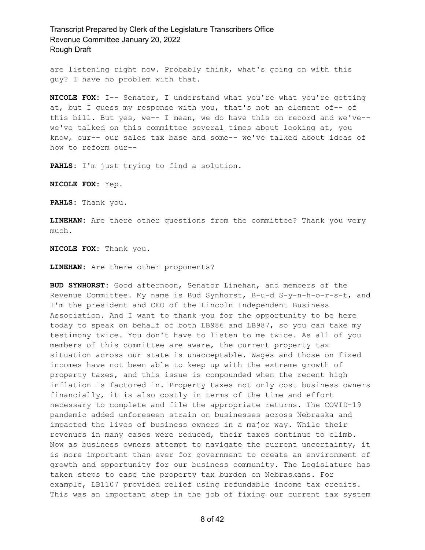are listening right now. Probably think, what's going on with this guy? I have no problem with that.

**NICOLE FOX:** I-- Senator, I understand what you're what you're getting at, but I guess my response with you, that's not an element of-- of this bill. But yes, we-- I mean, we do have this on record and we've- we've talked on this committee several times about looking at, you know, our-- our sales tax base and some-- we've talked about ideas of how to reform our--

**PAHLS:** I'm just trying to find a solution.

**NICOLE FOX:** Yep.

**PAHLS:** Thank you.

**LINEHAN:** Are there other questions from the committee? Thank you very much.

**NICOLE FOX:** Thank you.

**LINEHAN:** Are there other proponents?

**BUD SYNHORST:** Good afternoon, Senator Linehan, and members of the Revenue Committee. My name is Bud Synhorst, B-u-d S-y-n-h-o-r-s-t, and I'm the president and CEO of the Lincoln Independent Business Association. And I want to thank you for the opportunity to be here today to speak on behalf of both LB986 and LB987, so you can take my testimony twice. You don't have to listen to me twice. As all of you members of this committee are aware, the current property tax situation across our state is unacceptable. Wages and those on fixed incomes have not been able to keep up with the extreme growth of property taxes, and this issue is compounded when the recent high inflation is factored in. Property taxes not only cost business owners financially, it is also costly in terms of the time and effort necessary to complete and file the appropriate returns. The COVID-19 pandemic added unforeseen strain on businesses across Nebraska and impacted the lives of business owners in a major way. While their revenues in many cases were reduced, their taxes continue to climb. Now as business owners attempt to navigate the current uncertainty, it is more important than ever for government to create an environment of growth and opportunity for our business community. The Legislature has taken steps to ease the property tax burden on Nebraskans. For example, LB1107 provided relief using refundable income tax credits. This was an important step in the job of fixing our current tax system

8 of 42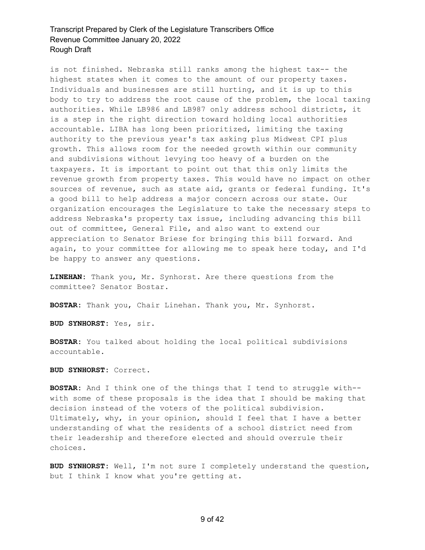is not finished. Nebraska still ranks among the highest tax-- the highest states when it comes to the amount of our property taxes. Individuals and businesses are still hurting, and it is up to this body to try to address the root cause of the problem, the local taxing authorities. While LB986 and LB987 only address school districts, it is a step in the right direction toward holding local authorities accountable. LIBA has long been prioritized, limiting the taxing authority to the previous year's tax asking plus Midwest CPI plus growth. This allows room for the needed growth within our community and subdivisions without levying too heavy of a burden on the taxpayers. It is important to point out that this only limits the revenue growth from property taxes. This would have no impact on other sources of revenue, such as state aid, grants or federal funding. It's a good bill to help address a major concern across our state. Our organization encourages the Legislature to take the necessary steps to address Nebraska's property tax issue, including advancing this bill out of committee, General File, and also want to extend our appreciation to Senator Briese for bringing this bill forward. And again, to your committee for allowing me to speak here today, and I'd be happy to answer any questions.

**LINEHAN:** Thank you, Mr. Synhorst. Are there questions from the committee? Senator Bostar.

**BOSTAR:** Thank you, Chair Linehan. Thank you, Mr. Synhorst.

**BUD SYNHORST:** Yes, sir.

**BOSTAR:** You talked about holding the local political subdivisions accountable.

**BUD SYNHORST:** Correct.

**BOSTAR:** And I think one of the things that I tend to struggle with- with some of these proposals is the idea that I should be making that decision instead of the voters of the political subdivision. Ultimately, why, in your opinion, should I feel that I have a better understanding of what the residents of a school district need from their leadership and therefore elected and should overrule their choices.

**BUD SYNHORST:** Well, I'm not sure I completely understand the question, but I think I know what you're getting at.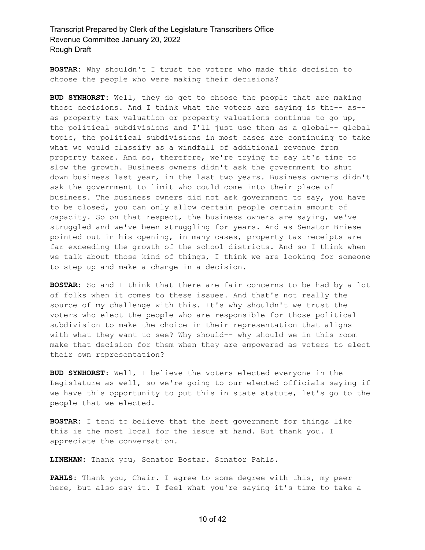**BOSTAR:** Why shouldn't I trust the voters who made this decision to choose the people who were making their decisions?

**BUD SYNHORST:** Well, they do get to choose the people that are making those decisions. And I think what the voters are saying is the-- as- as property tax valuation or property valuations continue to go up, the political subdivisions and I'll just use them as a global-- global topic, the political subdivisions in most cases are continuing to take what we would classify as a windfall of additional revenue from property taxes. And so, therefore, we're trying to say it's time to slow the growth. Business owners didn't ask the government to shut down business last year, in the last two years. Business owners didn't ask the government to limit who could come into their place of business. The business owners did not ask government to say, you have to be closed, you can only allow certain people certain amount of capacity. So on that respect, the business owners are saying, we've struggled and we've been struggling for years. And as Senator Briese pointed out in his opening, in many cases, property tax receipts are far exceeding the growth of the school districts. And so I think when we talk about those kind of things, I think we are looking for someone to step up and make a change in a decision.

**BOSTAR:** So and I think that there are fair concerns to be had by a lot of folks when it comes to these issues. And that's not really the source of my challenge with this. It's why shouldn't we trust the voters who elect the people who are responsible for those political subdivision to make the choice in their representation that aligns with what they want to see? Why should-- why should we in this room make that decision for them when they are empowered as voters to elect their own representation?

**BUD SYNHORST:** Well, I believe the voters elected everyone in the Legislature as well, so we're going to our elected officials saying if we have this opportunity to put this in state statute, let's go to the people that we elected.

**BOSTAR:** I tend to believe that the best government for things like this is the most local for the issue at hand. But thank you. I appreciate the conversation.

**LINEHAN:** Thank you, Senator Bostar. Senator Pahls.

**PAHLS:** Thank you, Chair. I agree to some degree with this, my peer here, but also say it. I feel what you're saying it's time to take a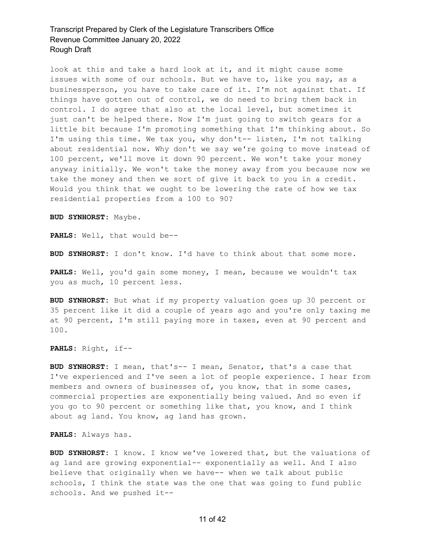look at this and take a hard look at it, and it might cause some issues with some of our schools. But we have to, like you say, as a businessperson, you have to take care of it. I'm not against that. If things have gotten out of control, we do need to bring them back in control. I do agree that also at the local level, but sometimes it just can't be helped there. Now I'm just going to switch gears for a little bit because I'm promoting something that I'm thinking about. So I'm using this time. We tax you, why don't-- listen, I'm not talking about residential now. Why don't we say we're going to move instead of 100 percent, we'll move it down 90 percent. We won't take your money anyway initially. We won't take the money away from you because now we take the money and then we sort of give it back to you in a credit. Would you think that we ought to be lowering the rate of how we tax residential properties from a 100 to 90?

**BUD SYNHORST:** Maybe.

**PAHLS:** Well, that would be--

**BUD SYNHORST:** I don't know. I'd have to think about that some more.

**PAHLS:** Well, you'd gain some money, I mean, because we wouldn't tax you as much, 10 percent less.

**BUD SYNHORST:** But what if my property valuation goes up 30 percent or 35 percent like it did a couple of years ago and you're only taxing me at 90 percent, I'm still paying more in taxes, even at 90 percent and 100.

**PAHLS:** Right, if--

**BUD SYNHORST:** I mean, that's-- I mean, Senator, that's a case that I've experienced and I've seen a lot of people experience. I hear from members and owners of businesses of, you know, that in some cases, commercial properties are exponentially being valued. And so even if you go to 90 percent or something like that, you know, and I think about ag land. You know, ag land has grown.

**PAHLS:** Always has.

**BUD SYNHORST:** I know. I know we've lowered that, but the valuations of ag land are growing exponential-- exponentially as well. And I also believe that originally when we have-- when we talk about public schools, I think the state was the one that was going to fund public schools. And we pushed it--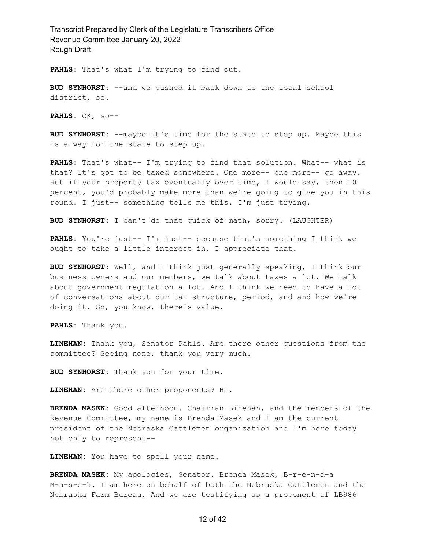**PAHLS:** That's what I'm trying to find out.

**BUD SYNHORST:** --and we pushed it back down to the local school district, so.

**PAHLS:** OK, so--

**BUD SYNHORST:** --maybe it's time for the state to step up. Maybe this is a way for the state to step up.

**PAHLS:** That's what-- I'm trying to find that solution. What-- what is that? It's got to be taxed somewhere. One more-- one more-- go away. But if your property tax eventually over time, I would say, then 10 percent, you'd probably make more than we're going to give you in this round. I just-- something tells me this. I'm just trying.

**BUD SYNHORST:** I can't do that quick of math, sorry. (LAUGHTER)

**PAHLS:** You're just-- I'm just-- because that's something I think we ought to take a little interest in, I appreciate that.

**BUD SYNHORST:** Well, and I think just generally speaking, I think our business owners and our members, we talk about taxes a lot. We talk about government regulation a lot. And I think we need to have a lot of conversations about our tax structure, period, and and how we're doing it. So, you know, there's value.

**PAHLS:** Thank you.

**LINEHAN:** Thank you, Senator Pahls. Are there other questions from the committee? Seeing none, thank you very much.

**BUD SYNHORST:** Thank you for your time.

**LINEHAN:** Are there other proponents? Hi.

**BRENDA MASEK:** Good afternoon. Chairman Linehan, and the members of the Revenue Committee, my name is Brenda Masek and I am the current president of the Nebraska Cattlemen organization and I'm here today not only to represent--

**LINEHAN:** You have to spell your name.

**BRENDA MASEK:** My apologies, Senator. Brenda Masek, B-r-e-n-d-a M-a-s-e-k. I am here on behalf of both the Nebraska Cattlemen and the Nebraska Farm Bureau. And we are testifying as a proponent of LB986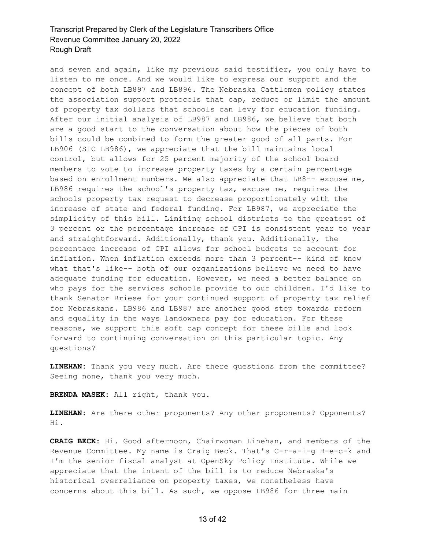and seven and again, like my previous said testifier, you only have to listen to me once. And we would like to express our support and the concept of both LB897 and LB896. The Nebraska Cattlemen policy states the association support protocols that cap, reduce or limit the amount of property tax dollars that schools can levy for education funding. After our initial analysis of LB987 and LB986, we believe that both are a good start to the conversation about how the pieces of both bills could be combined to form the greater good of all parts. For LB906 (SIC LB986), we appreciate that the bill maintains local control, but allows for 25 percent majority of the school board members to vote to increase property taxes by a certain percentage based on enrollment numbers. We also appreciate that LB8-- excuse me, LB986 requires the school's property tax, excuse me, requires the schools property tax request to decrease proportionately with the increase of state and federal funding. For LB987, we appreciate the simplicity of this bill. Limiting school districts to the greatest of 3 percent or the percentage increase of CPI is consistent year to year and straightforward. Additionally, thank you. Additionally, the percentage increase of CPI allows for school budgets to account for inflation. When inflation exceeds more than 3 percent-- kind of know what that's like-- both of our organizations believe we need to have adequate funding for education. However, we need a better balance on who pays for the services schools provide to our children. I'd like to thank Senator Briese for your continued support of property tax relief for Nebraskans. LB986 and LB987 are another good step towards reform and equality in the ways landowners pay for education. For these reasons, we support this soft cap concept for these bills and look forward to continuing conversation on this particular topic. Any questions?

**LINEHAN:** Thank you very much. Are there questions from the committee? Seeing none, thank you very much.

**BRENDA MASEK:** All right, thank you.

**LINEHAN:** Are there other proponents? Any other proponents? Opponents? Hi.

**CRAIG BECK:** Hi. Good afternoon, Chairwoman Linehan, and members of the Revenue Committee. My name is Craig Beck. That's C-r-a-i-g B-e-c-k and I'm the senior fiscal analyst at OpenSky Policy Institute. While we appreciate that the intent of the bill is to reduce Nebraska's historical overreliance on property taxes, we nonetheless have concerns about this bill. As such, we oppose LB986 for three main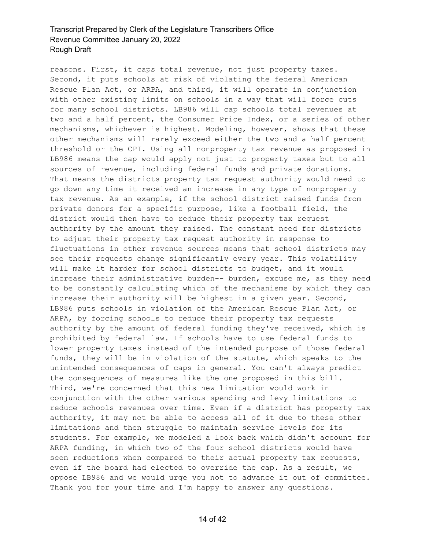reasons. First, it caps total revenue, not just property taxes. Second, it puts schools at risk of violating the federal American Rescue Plan Act, or ARPA, and third, it will operate in conjunction with other existing limits on schools in a way that will force cuts for many school districts. LB986 will cap schools total revenues at two and a half percent, the Consumer Price Index, or a series of other mechanisms, whichever is highest. Modeling, however, shows that these other mechanisms will rarely exceed either the two and a half percent threshold or the CPI. Using all nonproperty tax revenue as proposed in LB986 means the cap would apply not just to property taxes but to all sources of revenue, including federal funds and private donations. That means the districts property tax request authority would need to go down any time it received an increase in any type of nonproperty tax revenue. As an example, if the school district raised funds from private donors for a specific purpose, like a football field, the district would then have to reduce their property tax request authority by the amount they raised. The constant need for districts to adjust their property tax request authority in response to fluctuations in other revenue sources means that school districts may see their requests change significantly every year. This volatility will make it harder for school districts to budget, and it would increase their administrative burden-- burden, excuse me, as they need to be constantly calculating which of the mechanisms by which they can increase their authority will be highest in a given year. Second, LB986 puts schools in violation of the American Rescue Plan Act, or ARPA, by forcing schools to reduce their property tax requests authority by the amount of federal funding they've received, which is prohibited by federal law. If schools have to use federal funds to lower property taxes instead of the intended purpose of those federal funds, they will be in violation of the statute, which speaks to the unintended consequences of caps in general. You can't always predict the consequences of measures like the one proposed in this bill. Third, we're concerned that this new limitation would work in conjunction with the other various spending and levy limitations to reduce schools revenues over time. Even if a district has property tax authority, it may not be able to access all of it due to these other limitations and then struggle to maintain service levels for its students. For example, we modeled a look back which didn't account for ARPA funding, in which two of the four school districts would have seen reductions when compared to their actual property tax requests, even if the board had elected to override the cap. As a result, we oppose LB986 and we would urge you not to advance it out of committee. Thank you for your time and I'm happy to answer any questions.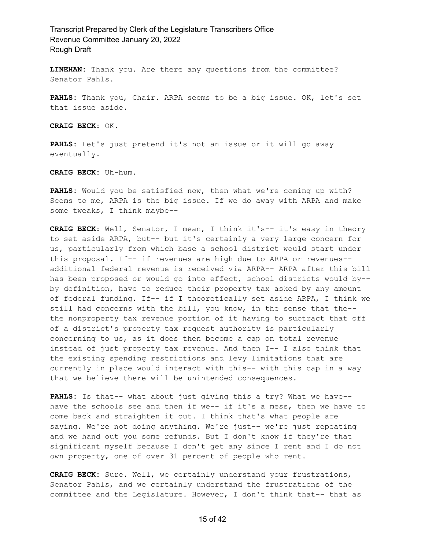**LINEHAN:** Thank you. Are there any questions from the committee? Senator Pahls.

**PAHLS:** Thank you, Chair. ARPA seems to be a big issue. OK, let's set that issue aside.

**CRAIG BECK:** OK.

**PAHLS:** Let's just pretend it's not an issue or it will go away eventually.

**CRAIG BECK:** Uh-hum.

**PAHLS:** Would you be satisfied now, then what we're coming up with? Seems to me, ARPA is the big issue. If we do away with ARPA and make some tweaks, I think maybe--

**CRAIG BECK:** Well, Senator, I mean, I think it's-- it's easy in theory to set aside ARPA, but-- but it's certainly a very large concern for us, particularly from which base a school district would start under this proposal. If-- if revenues are high due to ARPA or revenues- additional federal revenue is received via ARPA-- ARPA after this bill has been proposed or would go into effect, school districts would by- by definition, have to reduce their property tax asked by any amount of federal funding. If-- if I theoretically set aside ARPA, I think we still had concerns with the bill, you know, in the sense that the- the nonproperty tax revenue portion of it having to subtract that off of a district's property tax request authority is particularly concerning to us, as it does then become a cap on total revenue instead of just property tax revenue. And then I-- I also think that the existing spending restrictions and levy limitations that are currently in place would interact with this-- with this cap in a way that we believe there will be unintended consequences.

**PAHLS:** Is that-- what about just giving this a try? What we have- have the schools see and then if we-- if it's a mess, then we have to come back and straighten it out. I think that's what people are saying. We're not doing anything. We're just-- we're just repeating and we hand out you some refunds. But I don't know if they're that significant myself because I don't get any since I rent and I do not own property, one of over 31 percent of people who rent.

**CRAIG BECK:** Sure. Well, we certainly understand your frustrations, Senator Pahls, and we certainly understand the frustrations of the committee and the Legislature. However, I don't think that-- that as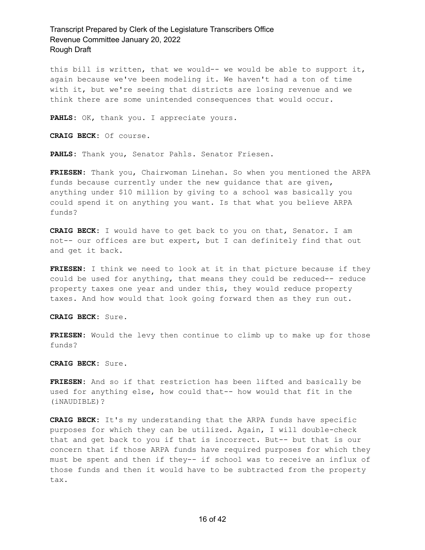this bill is written, that we would-- we would be able to support it, again because we've been modeling it. We haven't had a ton of time with it, but we're seeing that districts are losing revenue and we think there are some unintended consequences that would occur.

**PAHLS:** OK, thank you. I appreciate yours.

**CRAIG BECK:** Of course.

**PAHLS:** Thank you, Senator Pahls. Senator Friesen.

**FRIESEN:** Thank you, Chairwoman Linehan. So when you mentioned the ARPA funds because currently under the new guidance that are given, anything under \$10 million by giving to a school was basically you could spend it on anything you want. Is that what you believe ARPA funds?

**CRAIG BECK:** I would have to get back to you on that, Senator. I am not-- our offices are but expert, but I can definitely find that out and get it back.

**FRIESEN:** I think we need to look at it in that picture because if they could be used for anything, that means they could be reduced-- reduce property taxes one year and under this, they would reduce property taxes. And how would that look going forward then as they run out.

**CRAIG BECK:** Sure.

**FRIESEN:** Would the levy then continue to climb up to make up for those funds?

**CRAIG BECK:** Sure.

**FRIESEN:** And so if that restriction has been lifted and basically be used for anything else, how could that-- how would that fit in the (iNAUDIBLE)?

**CRAIG BECK:** It's my understanding that the ARPA funds have specific purposes for which they can be utilized. Again, I will double-check that and get back to you if that is incorrect. But-- but that is our concern that if those ARPA funds have required purposes for which they must be spent and then if they-- if school was to receive an influx of those funds and then it would have to be subtracted from the property tax.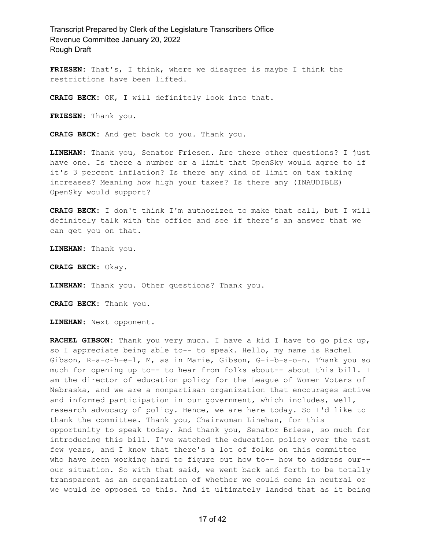**FRIESEN:** That's, I think, where we disagree is maybe I think the restrictions have been lifted.

**CRAIG BECK:** OK, I will definitely look into that.

**FRIESEN:** Thank you.

**CRAIG BECK:** And get back to you. Thank you.

**LINEHAN:** Thank you, Senator Friesen. Are there other questions? I just have one. Is there a number or a limit that OpenSky would agree to if it's 3 percent inflation? Is there any kind of limit on tax taking increases? Meaning how high your taxes? Is there any (INAUDIBLE) OpenSky would support?

**CRAIG BECK:** I don't think I'm authorized to make that call, but I will definitely talk with the office and see if there's an answer that we can get you on that.

**LINEHAN:** Thank you.

**CRAIG BECK:** Okay.

**LINEHAN:** Thank you. Other questions? Thank you.

**CRAIG BECK:** Thank you.

**LINEHAN:** Next opponent.

**RACHEL GIBSON:** Thank you very much. I have a kid I have to go pick up, so I appreciate being able to-- to speak. Hello, my name is Rachel Gibson, R-a-c-h-e-l, M, as in Marie, Gibson, G-i-b-s-o-n. Thank you so much for opening up to-- to hear from folks about-- about this bill. I am the director of education policy for the League of Women Voters of Nebraska, and we are a nonpartisan organization that encourages active and informed participation in our government, which includes, well, research advocacy of policy. Hence, we are here today. So I'd like to thank the committee. Thank you, Chairwoman Linehan, for this opportunity to speak today. And thank you, Senator Briese, so much for introducing this bill. I've watched the education policy over the past few years, and I know that there's a lot of folks on this committee who have been working hard to figure out how to-- how to address our-our situation. So with that said, we went back and forth to be totally transparent as an organization of whether we could come in neutral or we would be opposed to this. And it ultimately landed that as it being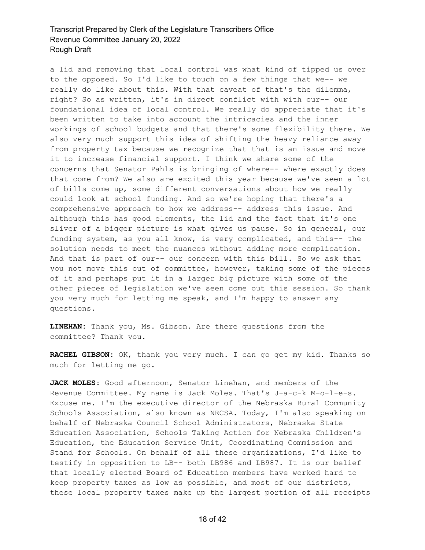a lid and removing that local control was what kind of tipped us over to the opposed. So I'd like to touch on a few things that we-- we really do like about this. With that caveat of that's the dilemma, right? So as written, it's in direct conflict with with our-- our foundational idea of local control. We really do appreciate that it's been written to take into account the intricacies and the inner workings of school budgets and that there's some flexibility there. We also very much support this idea of shifting the heavy reliance away from property tax because we recognize that that is an issue and move it to increase financial support. I think we share some of the concerns that Senator Pahls is bringing of where-- where exactly does that come from? We also are excited this year because we've seen a lot of bills come up, some different conversations about how we really could look at school funding. And so we're hoping that there's a comprehensive approach to how we address-- address this issue. And although this has good elements, the lid and the fact that it's one sliver of a bigger picture is what gives us pause. So in general, our funding system, as you all know, is very complicated, and this-- the solution needs to meet the nuances without adding more complication. And that is part of our-- our concern with this bill. So we ask that you not move this out of committee, however, taking some of the pieces of it and perhaps put it in a larger big picture with some of the other pieces of legislation we've seen come out this session. So thank you very much for letting me speak, and I'm happy to answer any questions.

**LINEHAN:** Thank you, Ms. Gibson. Are there questions from the committee? Thank you.

**RACHEL GIBSON:** OK, thank you very much. I can go get my kid. Thanks so much for letting me go.

**JACK MOLES:** Good afternoon, Senator Linehan, and members of the Revenue Committee. My name is Jack Moles. That's J-a-c-k M-o-l-e-s. Excuse me. I'm the executive director of the Nebraska Rural Community Schools Association, also known as NRCSA. Today, I'm also speaking on behalf of Nebraska Council School Administrators, Nebraska State Education Association, Schools Taking Action for Nebraska Children's Education, the Education Service Unit, Coordinating Commission and Stand for Schools. On behalf of all these organizations, I'd like to testify in opposition to LB-- both LB986 and LB987. It is our belief that locally elected Board of Education members have worked hard to keep property taxes as low as possible, and most of our districts, these local property taxes make up the largest portion of all receipts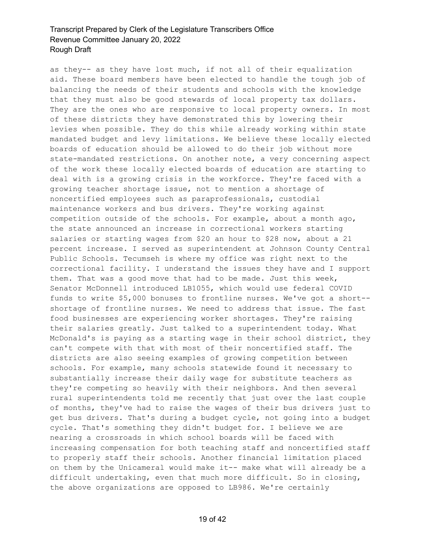as they-- as they have lost much, if not all of their equalization aid. These board members have been elected to handle the tough job of balancing the needs of their students and schools with the knowledge that they must also be good stewards of local property tax dollars. They are the ones who are responsive to local property owners. In most of these districts they have demonstrated this by lowering their levies when possible. They do this while already working within state mandated budget and levy limitations. We believe these locally elected boards of education should be allowed to do their job without more state-mandated restrictions. On another note, a very concerning aspect of the work these locally elected boards of education are starting to deal with is a growing crisis in the workforce. They're faced with a growing teacher shortage issue, not to mention a shortage of noncertified employees such as paraprofessionals, custodial maintenance workers and bus drivers. They're working against competition outside of the schools. For example, about a month ago, the state announced an increase in correctional workers starting salaries or starting wages from \$20 an hour to \$28 now, about a 21 percent increase. I served as superintendent at Johnson County Central Public Schools. Tecumseh is where my office was right next to the correctional facility. I understand the issues they have and I support them. That was a good move that had to be made. Just this week, Senator McDonnell introduced LB1055, which would use federal COVID funds to write \$5,000 bonuses to frontline nurses. We've got a short- shortage of frontline nurses. We need to address that issue. The fast food businesses are experiencing worker shortages. They're raising their salaries greatly. Just talked to a superintendent today. What McDonald's is paying as a starting wage in their school district, they can't compete with that with most of their noncertified staff. The districts are also seeing examples of growing competition between schools. For example, many schools statewide found it necessary to substantially increase their daily wage for substitute teachers as they're competing so heavily with their neighbors. And then several rural superintendents told me recently that just over the last couple of months, they've had to raise the wages of their bus drivers just to get bus drivers. That's during a budget cycle, not going into a budget cycle. That's something they didn't budget for. I believe we are nearing a crossroads in which school boards will be faced with increasing compensation for both teaching staff and noncertified staff to properly staff their schools. Another financial limitation placed on them by the Unicameral would make it-- make what will already be a difficult undertaking, even that much more difficult. So in closing, the above organizations are opposed to LB986. We're certainly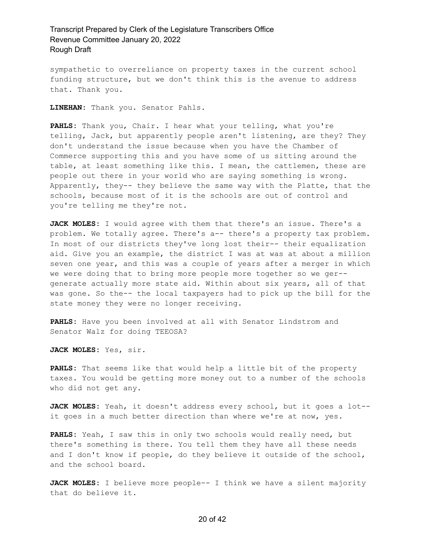sympathetic to overreliance on property taxes in the current school funding structure, but we don't think this is the avenue to address that. Thank you.

**LINEHAN:** Thank you. Senator Pahls.

**PAHLS:** Thank you, Chair. I hear what your telling, what you're telling, Jack, but apparently people aren't listening, are they? They don't understand the issue because when you have the Chamber of Commerce supporting this and you have some of us sitting around the table, at least something like this. I mean, the cattlemen, these are people out there in your world who are saying something is wrong. Apparently, they-- they believe the same way with the Platte, that the schools, because most of it is the schools are out of control and you're telling me they're not.

**JACK MOLES:** I would agree with them that there's an issue. There's a problem. We totally agree. There's a-- there's a property tax problem. In most of our districts they've long lost their-- their equalization aid. Give you an example, the district I was at was at about a million seven one year, and this was a couple of years after a merger in which we were doing that to bring more people more together so we ger- generate actually more state aid. Within about six years, all of that was gone. So the-- the local taxpayers had to pick up the bill for the state money they were no longer receiving.

**PAHLS:** Have you been involved at all with Senator Lindstrom and Senator Walz for doing TEEOSA?

**JACK MOLES:** Yes, sir.

**PAHLS:** That seems like that would help a little bit of the property taxes. You would be getting more money out to a number of the schools who did not get any.

**JACK MOLES:** Yeah, it doesn't address every school, but it goes a lot- it goes in a much better direction than where we're at now, yes.

**PAHLS:** Yeah, I saw this in only two schools would really need, but there's something is there. You tell them they have all these needs and I don't know if people, do they believe it outside of the school, and the school board.

**JACK MOLES:** I believe more people-- I think we have a silent majority that do believe it.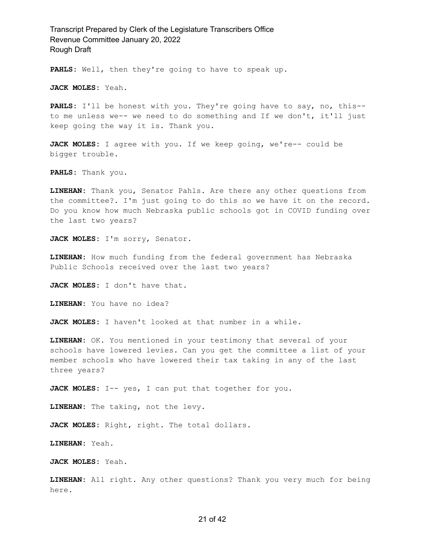**PAHLS:** Well, then they're going to have to speak up.

**JACK MOLES:** Yeah.

**PAHLS:** I'll be honest with you. They're going have to say, no, this- to me unless we-- we need to do something and If we don't, it'll just keep going the way it is. Thank you.

**JACK MOLES:** I agree with you. If we keep going, we're-- could be bigger trouble.

**PAHLS:** Thank you.

**LINEHAN:** Thank you, Senator Pahls. Are there any other questions from the committee?. I'm just going to do this so we have it on the record. Do you know how much Nebraska public schools got in COVID funding over the last two years?

**JACK MOLES:** I'm sorry, Senator.

**LINEHAN:** How much funding from the federal government has Nebraska Public Schools received over the last two years?

**JACK MOLES:** I don't have that.

**LINEHAN:** You have no idea?

**JACK MOLES:** I haven't looked at that number in a while.

**LINEHAN:** OK. You mentioned in your testimony that several of your schools have lowered levies. Can you get the committee a list of your member schools who have lowered their tax taking in any of the last three years?

JACK MOLES: I-- yes, I can put that together for you.

**LINEHAN:** The taking, not the levy.

**JACK MOLES:** Right, right. The total dollars.

**LINEHAN:** Yeah.

**JACK MOLES:** Yeah.

**LINEHAN:** All right. Any other questions? Thank you very much for being here.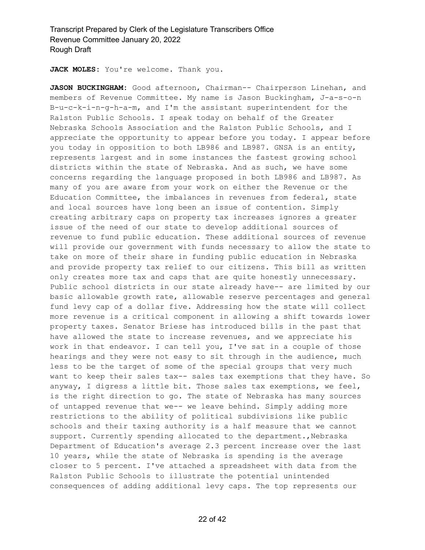**JACK MOLES:** You're welcome. Thank you.

JASON BUCKINGHAM: Good afternoon, Chairman-- Chairperson Linehan, and members of Revenue Committee. My name is Jason Buckingham, J-a-s-o-n B-u-c-k-i-n-g-h-a-m, and I'm the assistant superintendent for the Ralston Public Schools. I speak today on behalf of the Greater Nebraska Schools Association and the Ralston Public Schools, and I appreciate the opportunity to appear before you today. I appear before you today in opposition to both LB986 and LB987. GNSA is an entity, represents largest and in some instances the fastest growing school districts within the state of Nebraska. And as such, we have some concerns regarding the language proposed in both LB986 and LB987. As many of you are aware from your work on either the Revenue or the Education Committee, the imbalances in revenues from federal, state and local sources have long been an issue of contention. Simply creating arbitrary caps on property tax increases ignores a greater issue of the need of our state to develop additional sources of revenue to fund public education. These additional sources of revenue will provide our government with funds necessary to allow the state to take on more of their share in funding public education in Nebraska and provide property tax relief to our citizens. This bill as written only creates more tax and caps that are quite honestly unnecessary. Public school districts in our state already have-- are limited by our basic allowable growth rate, allowable reserve percentages and general fund levy cap of a dollar five. Addressing how the state will collect more revenue is a critical component in allowing a shift towards lower property taxes. Senator Briese has introduced bills in the past that have allowed the state to increase revenues, and we appreciate his work in that endeavor. I can tell you, I've sat in a couple of those hearings and they were not easy to sit through in the audience, much less to be the target of some of the special groups that very much want to keep their sales tax-- sales tax exemptions that they have. So anyway, I digress a little bit. Those sales tax exemptions, we feel, is the right direction to go. The state of Nebraska has many sources of untapped revenue that we-- we leave behind. Simply adding more restrictions to the ability of political subdivisions like public schools and their taxing authority is a half measure that we cannot support. Currently spending allocated to the department., Nebraska Department of Education's average 2.3 percent increase over the last 10 years, while the state of Nebraska is spending is the average closer to 5 percent. I've attached a spreadsheet with data from the Ralston Public Schools to illustrate the potential unintended consequences of adding additional levy caps. The top represents our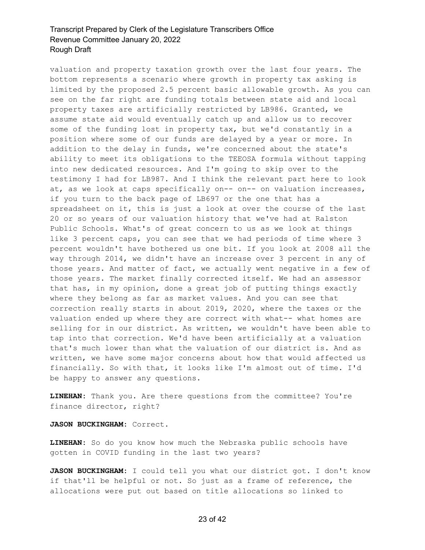valuation and property taxation growth over the last four years. The bottom represents a scenario where growth in property tax asking is limited by the proposed 2.5 percent basic allowable growth. As you can see on the far right are funding totals between state aid and local property taxes are artificially restricted by LB986. Granted, we assume state aid would eventually catch up and allow us to recover some of the funding lost in property tax, but we'd constantly in a position where some of our funds are delayed by a year or more. In addition to the delay in funds, we're concerned about the state's ability to meet its obligations to the TEEOSA formula without tapping into new dedicated resources. And I'm going to skip over to the testimony I had for LB987. And I think the relevant part here to look at, as we look at caps specifically on-- on-- on valuation increases, if you turn to the back page of LB697 or the one that has a spreadsheet on it, this is just a look at over the course of the last 20 or so years of our valuation history that we've had at Ralston Public Schools. What's of great concern to us as we look at things like 3 percent caps, you can see that we had periods of time where 3 percent wouldn't have bothered us one bit. If you look at 2008 all the way through 2014, we didn't have an increase over 3 percent in any of those years. And matter of fact, we actually went negative in a few of those years. The market finally corrected itself. We had an assessor that has, in my opinion, done a great job of putting things exactly where they belong as far as market values. And you can see that correction really starts in about 2019, 2020, where the taxes or the valuation ended up where they are correct with what-- what homes are selling for in our district. As written, we wouldn't have been able to tap into that correction. We'd have been artificially at a valuation that's much lower than what the valuation of our district is. And as written, we have some major concerns about how that would affected us financially. So with that, it looks like I'm almost out of time. I'd be happy to answer any questions.

**LINEHAN:** Thank you. Are there questions from the committee? You're finance director, right?

**JASON BUCKINGHAM:** Correct.

**LINEHAN:** So do you know how much the Nebraska public schools have gotten in COVID funding in the last two years?

**JASON BUCKINGHAM:** I could tell you what our district got. I don't know if that'll be helpful or not. So just as a frame of reference, the allocations were put out based on title allocations so linked to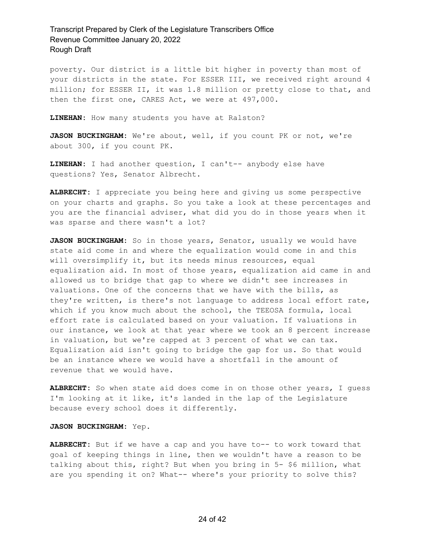poverty. Our district is a little bit higher in poverty than most of your districts in the state. For ESSER III, we received right around 4 million; for ESSER II, it was 1.8 million or pretty close to that, and then the first one, CARES Act, we were at 497,000.

**LINEHAN:** How many students you have at Ralston?

**JASON BUCKINGHAM:** We're about, well, if you count PK or not, we're about 300, if you count PK.

**LINEHAN:** I had another question, I can't-- anybody else have questions? Yes, Senator Albrecht.

**ALBRECHT:** I appreciate you being here and giving us some perspective on your charts and graphs. So you take a look at these percentages and you are the financial adviser, what did you do in those years when it was sparse and there wasn't a lot?

JASON BUCKINGHAM: So in those years, Senator, usually we would have state aid come in and where the equalization would come in and this will oversimplify it, but its needs minus resources, equal equalization aid. In most of those years, equalization aid came in and allowed us to bridge that gap to where we didn't see increases in valuations. One of the concerns that we have with the bills, as they're written, is there's not language to address local effort rate, which if you know much about the school, the TEEOSA formula, local effort rate is calculated based on your valuation. If valuations in our instance, we look at that year where we took an 8 percent increase in valuation, but we're capped at 3 percent of what we can tax. Equalization aid isn't going to bridge the gap for us. So that would be an instance where we would have a shortfall in the amount of revenue that we would have.

**ALBRECHT:** So when state aid does come in on those other years, I guess I'm looking at it like, it's landed in the lap of the Legislature because every school does it differently.

#### **JASON BUCKINGHAM:** Yep.

**ALBRECHT:** But if we have a cap and you have to-- to work toward that goal of keeping things in line, then we wouldn't have a reason to be talking about this, right? But when you bring in 5- \$6 million, what are you spending it on? What-- where's your priority to solve this?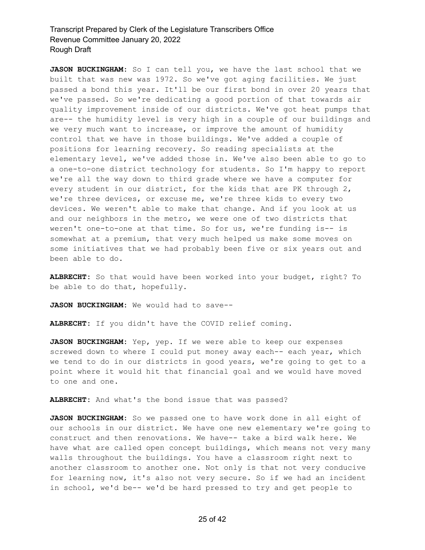**JASON BUCKINGHAM:** So I can tell you, we have the last school that we built that was new was 1972. So we've got aging facilities. We just passed a bond this year. It'll be our first bond in over 20 years that we've passed. So we're dedicating a good portion of that towards air quality improvement inside of our districts. We've got heat pumps that are-- the humidity level is very high in a couple of our buildings and we very much want to increase, or improve the amount of humidity control that we have in those buildings. We've added a couple of positions for learning recovery. So reading specialists at the elementary level, we've added those in. We've also been able to go to a one-to-one district technology for students. So I'm happy to report we're all the way down to third grade where we have a computer for every student in our district, for the kids that are PK through 2, we're three devices, or excuse me, we're three kids to every two devices. We weren't able to make that change. And if you look at us and our neighbors in the metro, we were one of two districts that weren't one-to-one at that time. So for us, we're funding is-- is somewhat at a premium, that very much helped us make some moves on some initiatives that we had probably been five or six years out and been able to do.

**ALBRECHT:** So that would have been worked into your budget, right? To be able to do that, hopefully.

**JASON BUCKINGHAM:** We would had to save--

**ALBRECHT:** If you didn't have the COVID relief coming.

**JASON BUCKINGHAM:** Yep, yep. If we were able to keep our expenses screwed down to where I could put money away each-- each year, which we tend to do in our districts in good years, we're going to get to a point where it would hit that financial goal and we would have moved to one and one.

**ALBRECHT:** And what's the bond issue that was passed?

**JASON BUCKINGHAM:** So we passed one to have work done in all eight of our schools in our district. We have one new elementary we're going to construct and then renovations. We have-- take a bird walk here. We have what are called open concept buildings, which means not very many walls throughout the buildings. You have a classroom right next to another classroom to another one. Not only is that not very conducive for learning now, it's also not very secure. So if we had an incident in school, we'd be-- we'd be hard pressed to try and get people to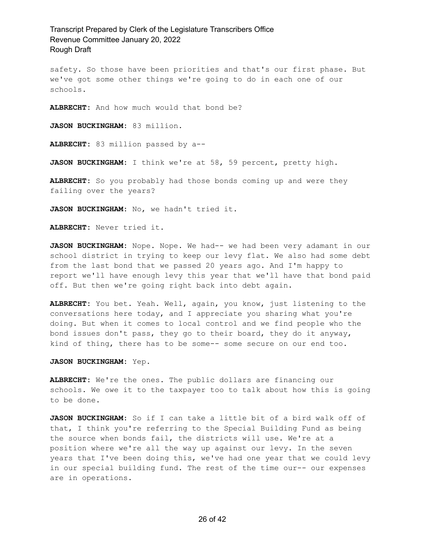safety. So those have been priorities and that's our first phase. But we've got some other things we're going to do in each one of our schools.

**ALBRECHT:** And how much would that bond be?

**JASON BUCKINGHAM:** 83 million.

**ALBRECHT:** 83 million passed by a--

**JASON BUCKINGHAM:** I think we're at 58, 59 percent, pretty high.

**ALBRECHT:** So you probably had those bonds coming up and were they failing over the years?

**JASON BUCKINGHAM:** No, we hadn't tried it.

**ALBRECHT:** Never tried it.

JASON BUCKINGHAM: Nope. Nope. We had-- we had been very adamant in our school district in trying to keep our levy flat. We also had some debt from the last bond that we passed 20 years ago. And I'm happy to report we'll have enough levy this year that we'll have that bond paid off. But then we're going right back into debt again.

**ALBRECHT:** You bet. Yeah. Well, again, you know, just listening to the conversations here today, and I appreciate you sharing what you're doing. But when it comes to local control and we find people who the bond issues don't pass, they go to their board, they do it anyway, kind of thing, there has to be some-- some secure on our end too.

#### **JASON BUCKINGHAM:** Yep.

**ALBRECHT:** We're the ones. The public dollars are financing our schools. We owe it to the taxpayer too to talk about how this is going to be done.

**JASON BUCKINGHAM:** So if I can take a little bit of a bird walk off of that, I think you're referring to the Special Building Fund as being the source when bonds fail, the districts will use. We're at a position where we're all the way up against our levy. In the seven years that I've been doing this, we've had one year that we could levy in our special building fund. The rest of the time our-- our expenses are in operations.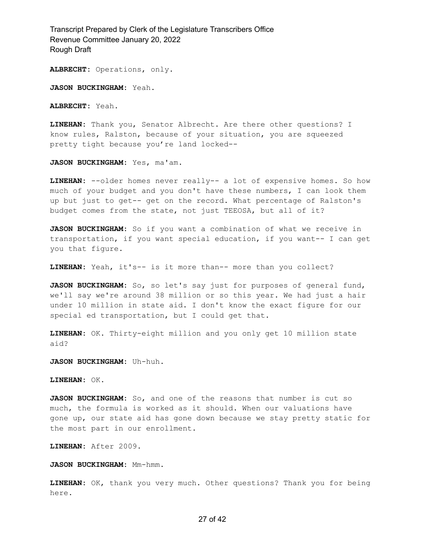**ALBRECHT:** Operations, only.

**JASON BUCKINGHAM:** Yeah.

**ALBRECHT:** Yeah.

**LINEHAN:** Thank you, Senator Albrecht. Are there other questions? I know rules, Ralston, because of your situation, you are squeezed pretty tight because you're land locked--

**JASON BUCKINGHAM:** Yes, ma'am.

**LINEHAN:** --older homes never really-- a lot of expensive homes. So how much of your budget and you don't have these numbers, I can look them up but just to get-- get on the record. What percentage of Ralston's budget comes from the state, not just TEEOSA, but all of it?

**JASON BUCKINGHAM:** So if you want a combination of what we receive in transportation, if you want special education, if you want-- I can get you that figure.

**LINEHAN:** Yeah, it's-- is it more than-- more than you collect?

**JASON BUCKINGHAM:** So, so let's say just for purposes of general fund, we'll say we're around 38 million or so this year. We had just a hair under 10 million in state aid. I don't know the exact figure for our special ed transportation, but I could get that.

**LINEHAN:** OK. Thirty-eight million and you only get 10 million state aid?

**JASON BUCKINGHAM:** Uh-huh.

**LINEHAN:** OK.

**JASON BUCKINGHAM:** So, and one of the reasons that number is cut so much, the formula is worked as it should. When our valuations have gone up, our state aid has gone down because we stay pretty static for the most part in our enrollment.

**LINEHAN:** After 2009.

**JASON BUCKINGHAM:** Mm-hmm.

**LINEHAN:** OK, thank you very much. Other questions? Thank you for being here.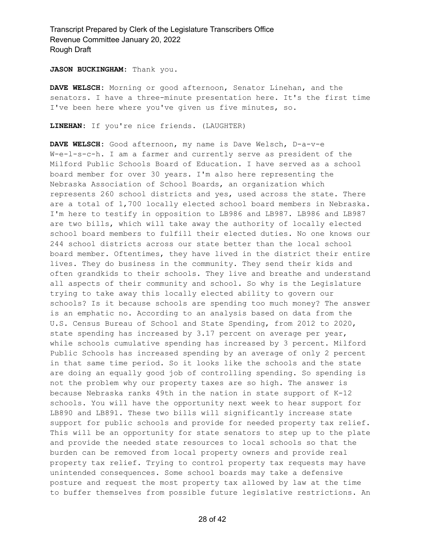#### **JASON BUCKINGHAM:** Thank you.

**DAVE WELSCH:** Morning or good afternoon, Senator Linehan, and the senators. I have a three-minute presentation here. It's the first time I've been here where you've given us five minutes, so.

**LINEHAN:** If you're nice friends. (LAUGHTER)

**DAVE WELSCH:** Good afternoon, my name is Dave Welsch, D-a-v-e W-e-l-s-c-h. I am a farmer and currently serve as president of the Milford Public Schools Board of Education. I have served as a school board member for over 30 years. I'm also here representing the Nebraska Association of School Boards, an organization which represents 260 school districts and yes, used across the state. There are a total of 1,700 locally elected school board members in Nebraska. I'm here to testify in opposition to LB986 and LB987. LB986 and LB987 are two bills, which will take away the authority of locally elected school board members to fulfill their elected duties. No one knows our 244 school districts across our state better than the local school board member. Oftentimes, they have lived in the district their entire lives. They do business in the community. They send their kids and often grandkids to their schools. They live and breathe and understand all aspects of their community and school. So why is the Legislature trying to take away this locally elected ability to govern our schools? Is it because schools are spending too much money? The answer is an emphatic no. According to an analysis based on data from the U.S. Census Bureau of School and State Spending, from 2012 to 2020, state spending has increased by 3.17 percent on average per year, while schools cumulative spending has increased by 3 percent. Milford Public Schools has increased spending by an average of only 2 percent in that same time period. So it looks like the schools and the state are doing an equally good job of controlling spending. So spending is not the problem why our property taxes are so high. The answer is because Nebraska ranks 49th in the nation in state support of K-12 schools. You will have the opportunity next week to hear support for LB890 and LB891. These two bills will significantly increase state support for public schools and provide for needed property tax relief. This will be an opportunity for state senators to step up to the plate and provide the needed state resources to local schools so that the burden can be removed from local property owners and provide real property tax relief. Trying to control property tax requests may have unintended consequences. Some school boards may take a defensive posture and request the most property tax allowed by law at the time to buffer themselves from possible future legislative restrictions. An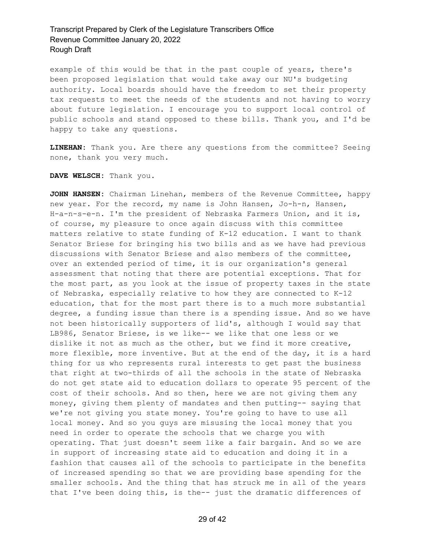example of this would be that in the past couple of years, there's been proposed legislation that would take away our NU's budgeting authority. Local boards should have the freedom to set their property tax requests to meet the needs of the students and not having to worry about future legislation. I encourage you to support local control of public schools and stand opposed to these bills. Thank you, and I'd be happy to take any questions.

**LINEHAN:** Thank you. Are there any questions from the committee? Seeing none, thank you very much.

**DAVE WELSCH:** Thank you.

**JOHN HANSEN:** Chairman Linehan, members of the Revenue Committee, happy new year. For the record, my name is John Hansen, Jo-h-n, Hansen, H-a-n-s-e-n. I'm the president of Nebraska Farmers Union, and it is, of course, my pleasure to once again discuss with this committee matters relative to state funding of K-12 education. I want to thank Senator Briese for bringing his two bills and as we have had previous discussions with Senator Briese and also members of the committee, over an extended period of time, it is our organization's general assessment that noting that there are potential exceptions. That for the most part, as you look at the issue of property taxes in the state of Nebraska, especially relative to how they are connected to K-12 education, that for the most part there is to a much more substantial degree, a funding issue than there is a spending issue. And so we have not been historically supporters of lid's, although I would say that LB986, Senator Briese, is we like-- we like that one less or we dislike it not as much as the other, but we find it more creative, more flexible, more inventive. But at the end of the day, it is a hard thing for us who represents rural interests to get past the business that right at two-thirds of all the schools in the state of Nebraska do not get state aid to education dollars to operate 95 percent of the cost of their schools. And so then, here we are not giving them any money, giving them plenty of mandates and then putting-- saying that we're not giving you state money. You're going to have to use all local money. And so you guys are misusing the local money that you need in order to operate the schools that we charge you with operating. That just doesn't seem like a fair bargain. And so we are in support of increasing state aid to education and doing it in a fashion that causes all of the schools to participate in the benefits of increased spending so that we are providing base spending for the smaller schools. And the thing that has struck me in all of the years that I've been doing this, is the-- just the dramatic differences of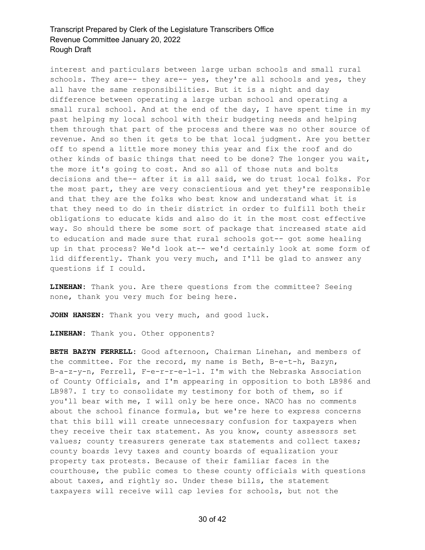interest and particulars between large urban schools and small rural schools. They are-- they are-- yes, they're all schools and yes, they all have the same responsibilities. But it is a night and day difference between operating a large urban school and operating a small rural school. And at the end of the day, I have spent time in my past helping my local school with their budgeting needs and helping them through that part of the process and there was no other source of revenue. And so then it gets to be that local judgment. Are you better off to spend a little more money this year and fix the roof and do other kinds of basic things that need to be done? The longer you wait, the more it's going to cost. And so all of those nuts and bolts decisions and the-- after it is all said, we do trust local folks. For the most part, they are very conscientious and yet they're responsible and that they are the folks who best know and understand what it is that they need to do in their district in order to fulfill both their obligations to educate kids and also do it in the most cost effective way. So should there be some sort of package that increased state aid to education and made sure that rural schools got-- got some healing up in that process? We'd look at-- we'd certainly look at some form of lid differently. Thank you very much, and I'll be glad to answer any questions if I could.

**LINEHAN:** Thank you. Are there questions from the committee? Seeing none, thank you very much for being here.

**JOHN HANSEN:** Thank you very much, and good luck.

**LINEHAN:** Thank you. Other opponents?

**BETH BAZYN FERRELL:** Good afternoon, Chairman Linehan, and members of the committee. For the record, my name is Beth, B-e-t-h, Bazyn, B-a-z-y-n, Ferrell, F-e-r-r-e-l-l. I'm with the Nebraska Association of County Officials, and I'm appearing in opposition to both LB986 and LB987. I try to consolidate my testimony for both of them, so if you'll bear with me, I will only be here once. NACO has no comments about the school finance formula, but we're here to express concerns that this bill will create unnecessary confusion for taxpayers when they receive their tax statement. As you know, county assessors set values; county treasurers generate tax statements and collect taxes; county boards levy taxes and county boards of equalization your property tax protests. Because of their familiar faces in the courthouse, the public comes to these county officials with questions about taxes, and rightly so. Under these bills, the statement taxpayers will receive will cap levies for schools, but not the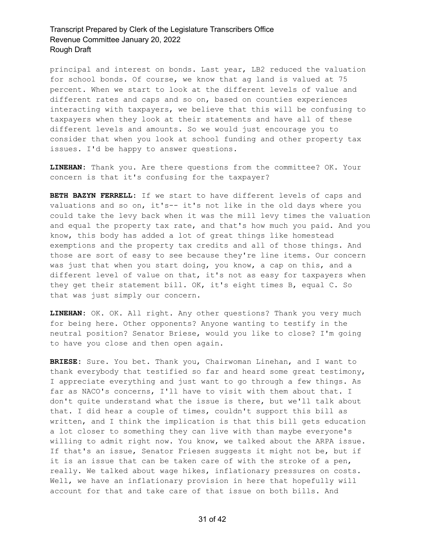principal and interest on bonds. Last year, LB2 reduced the valuation for school bonds. Of course, we know that ag land is valued at 75 percent. When we start to look at the different levels of value and different rates and caps and so on, based on counties experiences interacting with taxpayers, we believe that this will be confusing to taxpayers when they look at their statements and have all of these different levels and amounts. So we would just encourage you to consider that when you look at school funding and other property tax issues. I'd be happy to answer questions.

**LINEHAN:** Thank you. Are there questions from the committee? OK. Your concern is that it's confusing for the taxpayer?

**BETH BAZYN FERRELL:** If we start to have different levels of caps and valuations and so on, it's-- it's not like in the old days where you could take the levy back when it was the mill levy times the valuation and equal the property tax rate, and that's how much you paid. And you know, this body has added a lot of great things like homestead exemptions and the property tax credits and all of those things. And those are sort of easy to see because they're line items. Our concern was just that when you start doing, you know, a cap on this, and a different level of value on that, it's not as easy for taxpayers when they get their statement bill. OK, it's eight times B, equal C. So that was just simply our concern.

**LINEHAN:** OK. OK. All right. Any other questions? Thank you very much for being here. Other opponents? Anyone wanting to testify in the neutral position? Senator Briese, would you like to close? I'm going to have you close and then open again.

**BRIESE:** Sure. You bet. Thank you, Chairwoman Linehan, and I want to thank everybody that testified so far and heard some great testimony, I appreciate everything and just want to go through a few things. As far as NACO's concerns, I'll have to visit with them about that. I don't quite understand what the issue is there, but we'll talk about that. I did hear a couple of times, couldn't support this bill as written, and I think the implication is that this bill gets education a lot closer to something they can live with than maybe everyone's willing to admit right now. You know, we talked about the ARPA issue. If that's an issue, Senator Friesen suggests it might not be, but if it is an issue that can be taken care of with the stroke of a pen, really. We talked about wage hikes, inflationary pressures on costs. Well, we have an inflationary provision in here that hopefully will account for that and take care of that issue on both bills. And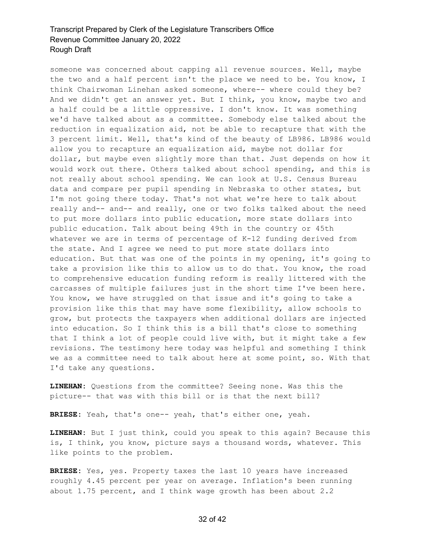someone was concerned about capping all revenue sources. Well, maybe the two and a half percent isn't the place we need to be. You know, I think Chairwoman Linehan asked someone, where-- where could they be? And we didn't get an answer yet. But I think, you know, maybe two and a half could be a little oppressive. I don't know. It was something we'd have talked about as a committee. Somebody else talked about the reduction in equalization aid, not be able to recapture that with the 3 percent limit. Well, that's kind of the beauty of LB986. LB986 would allow you to recapture an equalization aid, maybe not dollar for dollar, but maybe even slightly more than that. Just depends on how it would work out there. Others talked about school spending, and this is not really about school spending. We can look at U.S. Census Bureau data and compare per pupil spending in Nebraska to other states, but I'm not going there today. That's not what we're here to talk about really and-- and-- and really, one or two folks talked about the need to put more dollars into public education, more state dollars into public education. Talk about being 49th in the country or 45th whatever we are in terms of percentage of K-12 funding derived from the state. And I agree we need to put more state dollars into education. But that was one of the points in my opening, it's going to take a provision like this to allow us to do that. You know, the road to comprehensive education funding reform is really littered with the carcasses of multiple failures just in the short time I've been here. You know, we have struggled on that issue and it's going to take a provision like this that may have some flexibility, allow schools to grow, but protects the taxpayers when additional dollars are injected into education. So I think this is a bill that's close to something that I think a lot of people could live with, but it might take a few revisions. The testimony here today was helpful and something I think we as a committee need to talk about here at some point, so. With that I'd take any questions.

**LINEHAN:** Questions from the committee? Seeing none. Was this the picture-- that was with this bill or is that the next bill?

**BRIESE:** Yeah, that's one-- yeah, that's either one, yeah.

**LINEHAN:** But I just think, could you speak to this again? Because this is, I think, you know, picture says a thousand words, whatever. This like points to the problem.

**BRIESE:** Yes, yes. Property taxes the last 10 years have increased roughly 4.45 percent per year on average. Inflation's been running about 1.75 percent, and I think wage growth has been about 2.2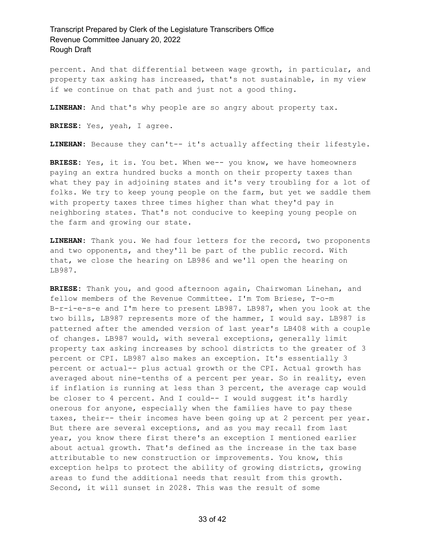percent. And that differential between wage growth, in particular, and property tax asking has increased, that's not sustainable, in my view if we continue on that path and just not a good thing.

**LINEHAN:** And that's why people are so angry about property tax.

**BRIESE:** Yes, yeah, I agree.

**LINEHAN:** Because they can't-- it's actually affecting their lifestyle.

**BRIESE:** Yes, it is. You bet. When we-- you know, we have homeowners paying an extra hundred bucks a month on their property taxes than what they pay in adjoining states and it's very troubling for a lot of folks. We try to keep young people on the farm, but yet we saddle them with property taxes three times higher than what they'd pay in neighboring states. That's not conducive to keeping young people on the farm and growing our state.

**LINEHAN:** Thank you. We had four letters for the record, two proponents and two opponents, and they'll be part of the public record. With that, we close the hearing on LB986 and we'll open the hearing on LB987.

**BRIESE:** Thank you, and good afternoon again, Chairwoman Linehan, and fellow members of the Revenue Committee. I'm Tom Briese, T-o-m B-r-i-e-s-e and I'm here to present LB987. LB987, when you look at the two bills, LB987 represents more of the hammer, I would say. LB987 is patterned after the amended version of last year's LB408 with a couple of changes. LB987 would, with several exceptions, generally limit property tax asking increases by school districts to the greater of 3 percent or CPI. LB987 also makes an exception. It's essentially 3 percent or actual-- plus actual growth or the CPI. Actual growth has averaged about nine-tenths of a percent per year. So in reality, even if inflation is running at less than 3 percent, the average cap would be closer to 4 percent. And I could-- I would suggest it's hardly onerous for anyone, especially when the families have to pay these taxes, their-- their incomes have been going up at 2 percent per year. But there are several exceptions, and as you may recall from last year, you know there first there's an exception I mentioned earlier about actual growth. That's defined as the increase in the tax base attributable to new construction or improvements. You know, this exception helps to protect the ability of growing districts, growing areas to fund the additional needs that result from this growth. Second, it will sunset in 2028. This was the result of some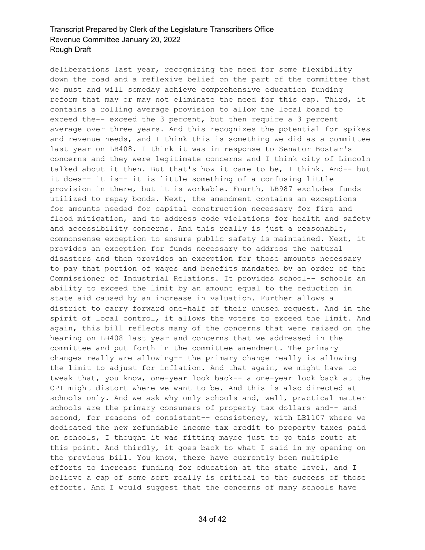deliberations last year, recognizing the need for some flexibility down the road and a reflexive belief on the part of the committee that we must and will someday achieve comprehensive education funding reform that may or may not eliminate the need for this cap. Third, it contains a rolling average provision to allow the local board to exceed the-- exceed the 3 percent, but then require a 3 percent average over three years. And this recognizes the potential for spikes and revenue needs, and I think this is something we did as a committee last year on LB408. I think it was in response to Senator Bostar's concerns and they were legitimate concerns and I think city of Lincoln talked about it then. But that's how it came to be, I think. And-- but it does-- it is-- it is little something of a confusing little provision in there, but it is workable. Fourth, LB987 excludes funds utilized to repay bonds. Next, the amendment contains an exceptions for amounts needed for capital construction necessary for fire and flood mitigation, and to address code violations for health and safety and accessibility concerns. And this really is just a reasonable, commonsense exception to ensure public safety is maintained. Next, it provides an exception for funds necessary to address the natural disasters and then provides an exception for those amounts necessary to pay that portion of wages and benefits mandated by an order of the Commissioner of Industrial Relations. It provides school-- schools an ability to exceed the limit by an amount equal to the reduction in state aid caused by an increase in valuation. Further allows a district to carry forward one-half of their unused request. And in the spirit of local control, it allows the voters to exceed the limit. And again, this bill reflects many of the concerns that were raised on the hearing on LB408 last year and concerns that we addressed in the committee and put forth in the committee amendment. The primary changes really are allowing-- the primary change really is allowing the limit to adjust for inflation. And that again, we might have to tweak that, you know, one-year look back-- a one-year look back at the CPI might distort where we want to be. And this is also directed at schools only. And we ask why only schools and, well, practical matter schools are the primary consumers of property tax dollars and-- and second, for reasons of consistent-- consistency, with LB1107 where we dedicated the new refundable income tax credit to property taxes paid on schools, I thought it was fitting maybe just to go this route at this point. And thirdly, it goes back to what I said in my opening on the previous bill. You know, there have currently been multiple efforts to increase funding for education at the state level, and I believe a cap of some sort really is critical to the success of those efforts. And I would suggest that the concerns of many schools have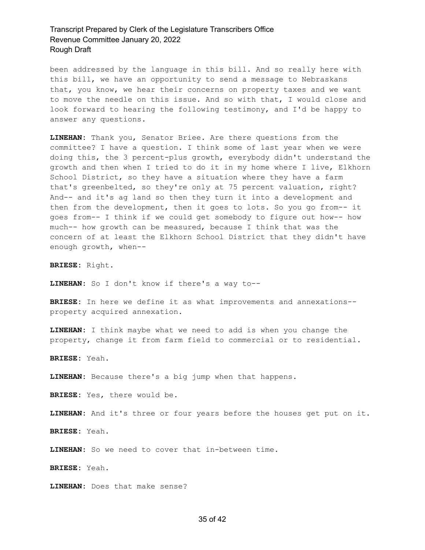been addressed by the language in this bill. And so really here with this bill, we have an opportunity to send a message to Nebraskans that, you know, we hear their concerns on property taxes and we want to move the needle on this issue. And so with that, I would close and look forward to hearing the following testimony, and I'd be happy to answer any questions.

**LINEHAN:** Thank you, Senator Briee. Are there questions from the committee? I have a question. I think some of last year when we were doing this, the 3 percent-plus growth, everybody didn't understand the growth and then when I tried to do it in my home where I live, Elkhorn School District, so they have a situation where they have a farm that's greenbelted, so they're only at 75 percent valuation, right? And-- and it's ag land so then they turn it into a development and then from the development, then it goes to lots. So you go from-- it goes from-- I think if we could get somebody to figure out how-- how much-- how growth can be measured, because I think that was the concern of at least the Elkhorn School District that they didn't have enough growth, when--

**BRIESE:** Right.

**LINEHAN:** So I don't know if there's a way to--

**BRIESE:** In here we define it as what improvements and annexations- property acquired annexation.

**LINEHAN:** I think maybe what we need to add is when you change the property, change it from farm field to commercial or to residential.

**BRIESE:** Yeah.

**LINEHAN:** Because there's a big jump when that happens.

**BRIESE:** Yes, there would be.

**LINEHAN:** And it's three or four years before the houses get put on it.

**BRIESE:** Yeah.

**LINEHAN:** So we need to cover that in-between time.

**BRIESE:** Yeah.

**LINEHAN:** Does that make sense?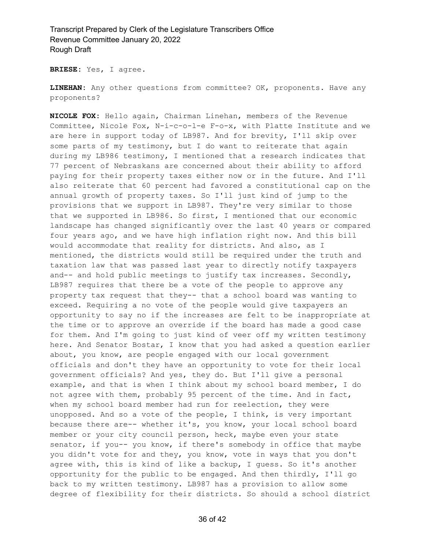**BRIESE:** Yes, I agree.

**LINEHAN:** Any other questions from committee? OK, proponents. Have any proponents?

**NICOLE FOX:** Hello again, Chairman Linehan, members of the Revenue Committee, Nicole Fox, N-i-c-o-l-e F-o-x, with Platte Institute and we are here in support today of LB987. And for brevity, I'll skip over some parts of my testimony, but I do want to reiterate that again during my LB986 testimony, I mentioned that a research indicates that 77 percent of Nebraskans are concerned about their ability to afford paying for their property taxes either now or in the future. And I'll also reiterate that 60 percent had favored a constitutional cap on the annual growth of property taxes. So I'll just kind of jump to the provisions that we support in LB987. They're very similar to those that we supported in LB986. So first, I mentioned that our economic landscape has changed significantly over the last 40 years or compared four years ago, and we have high inflation right now. And this bill would accommodate that reality for districts. And also, as I mentioned, the districts would still be required under the truth and taxation law that was passed last year to directly notify taxpayers and-- and hold public meetings to justify tax increases. Secondly, LB987 requires that there be a vote of the people to approve any property tax request that they-- that a school board was wanting to exceed. Requiring a no vote of the people would give taxpayers an opportunity to say no if the increases are felt to be inappropriate at the time or to approve an override if the board has made a good case for them. And I'm going to just kind of veer off my written testimony here. And Senator Bostar, I know that you had asked a question earlier about, you know, are people engaged with our local government officials and don't they have an opportunity to vote for their local government officials? And yes, they do. But I'll give a personal example, and that is when I think about my school board member, I do not agree with them, probably 95 percent of the time. And in fact, when my school board member had run for reelection, they were unopposed. And so a vote of the people, I think, is very important because there are-- whether it's, you know, your local school board member or your city council person, heck, maybe even your state senator, if you-- you know, if there's somebody in office that maybe you didn't vote for and they, you know, vote in ways that you don't agree with, this is kind of like a backup, I guess. So it's another opportunity for the public to be engaged. And then thirdly, I'll go back to my written testimony. LB987 has a provision to allow some degree of flexibility for their districts. So should a school district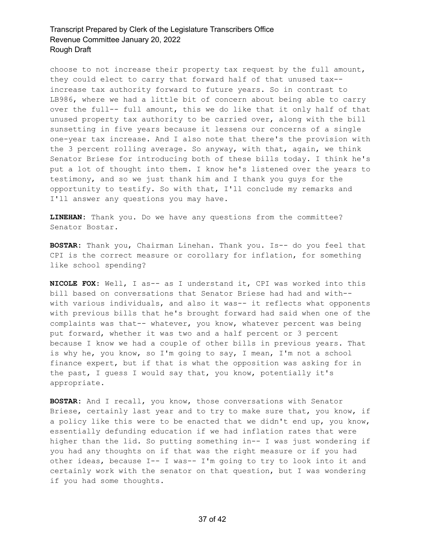choose to not increase their property tax request by the full amount, they could elect to carry that forward half of that unused tax- increase tax authority forward to future years. So in contrast to LB986, where we had a little bit of concern about being able to carry over the full-- full amount, this we do like that it only half of that unused property tax authority to be carried over, along with the bill sunsetting in five years because it lessens our concerns of a single one-year tax increase. And I also note that there's the provision with the 3 percent rolling average. So anyway, with that, again, we think Senator Briese for introducing both of these bills today. I think he's put a lot of thought into them. I know he's listened over the years to testimony, and so we just thank him and I thank you guys for the opportunity to testify. So with that, I'll conclude my remarks and I'll answer any questions you may have.

**LINEHAN:** Thank you. Do we have any questions from the committee? Senator Bostar.

**BOSTAR:** Thank you, Chairman Linehan. Thank you. Is-- do you feel that CPI is the correct measure or corollary for inflation, for something like school spending?

**NICOLE FOX:** Well, I as-- as I understand it, CPI was worked into this bill based on conversations that Senator Briese had had and with- with various individuals, and also it was-- it reflects what opponents with previous bills that he's brought forward had said when one of the complaints was that-- whatever, you know, whatever percent was being put forward, whether it was two and a half percent or 3 percent because I know we had a couple of other bills in previous years. That is why he, you know, so I'm going to say, I mean, I'm not a school finance expert, but if that is what the opposition was asking for in the past, I guess I would say that, you know, potentially it's appropriate.

**BOSTAR:** And I recall, you know, those conversations with Senator Briese, certainly last year and to try to make sure that, you know, if a policy like this were to be enacted that we didn't end up, you know, essentially defunding education if we had inflation rates that were higher than the lid. So putting something in-- I was just wondering if you had any thoughts on if that was the right measure or if you had other ideas, because I-- I was-- I'm going to try to look into it and certainly work with the senator on that question, but I was wondering if you had some thoughts.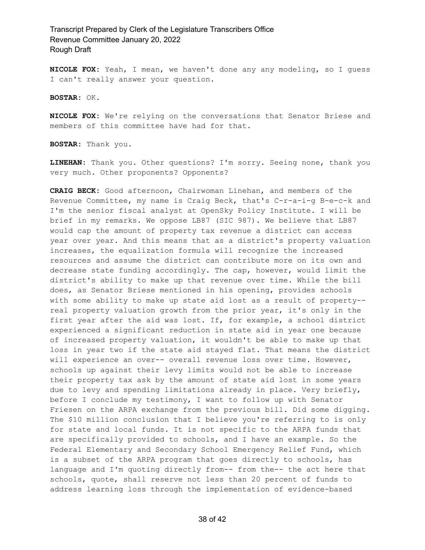**NICOLE FOX:** Yeah, I mean, we haven't done any any modeling, so I guess I can't really answer your question.

**BOSTAR:** OK.

**NICOLE FOX:** We're relying on the conversations that Senator Briese and members of this committee have had for that.

**BOSTAR:** Thank you.

**LINEHAN:** Thank you. Other questions? I'm sorry. Seeing none, thank you very much. Other proponents? Opponents?

**CRAIG BECK:** Good afternoon, Chairwoman Linehan, and members of the Revenue Committee, my name is Craig Beck, that's C-r-a-i-g B-e-c-k and I'm the senior fiscal analyst at OpenSky Policy Institute. I will be brief in my remarks. We oppose LB87 (SIC 987). We believe that LB87 would cap the amount of property tax revenue a district can access year over year. And this means that as a district's property valuation increases, the equalization formula will recognize the increased resources and assume the district can contribute more on its own and decrease state funding accordingly. The cap, however, would limit the district's ability to make up that revenue over time. While the bill does, as Senator Briese mentioned in his opening, provides schools with some ability to make up state aid lost as a result of property- real property valuation growth from the prior year, it's only in the first year after the aid was lost. If, for example, a school district experienced a significant reduction in state aid in year one because of increased property valuation, it wouldn't be able to make up that loss in year two if the state aid stayed flat. That means the district will experience an over-- overall revenue loss over time. However, schools up against their levy limits would not be able to increase their property tax ask by the amount of state aid lost in some years due to levy and spending limitations already in place. Very briefly, before I conclude my testimony, I want to follow up with Senator Friesen on the ARPA exchange from the previous bill. Did some digging. The \$10 million conclusion that I believe you're referring to is only for state and local funds. It is not specific to the ARPA funds that are specifically provided to schools, and I have an example. So the Federal Elementary and Secondary School Emergency Relief Fund, which is a subset of the ARPA program that goes directly to schools, has language and I'm quoting directly from-- from the-- the act here that schools, quote, shall reserve not less than 20 percent of funds to address learning loss through the implementation of evidence-based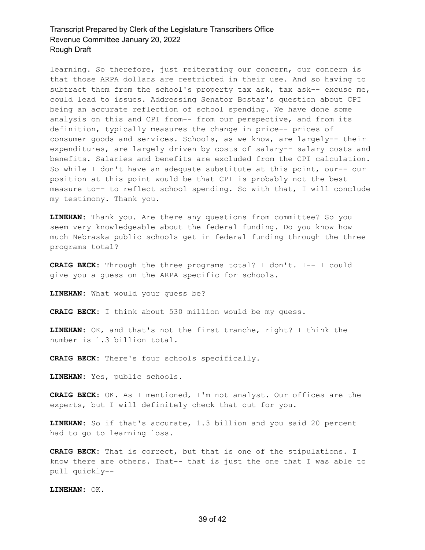learning. So therefore, just reiterating our concern, our concern is that those ARPA dollars are restricted in their use. And so having to subtract them from the school's property tax ask, tax ask-- excuse me, could lead to issues. Addressing Senator Bostar's question about CPI being an accurate reflection of school spending. We have done some analysis on this and CPI from-- from our perspective, and from its definition, typically measures the change in price-- prices of consumer goods and services. Schools, as we know, are largely-- their expenditures, are largely driven by costs of salary-- salary costs and benefits. Salaries and benefits are excluded from the CPI calculation. So while I don't have an adequate substitute at this point, our-- our position at this point would be that CPI is probably not the best measure to-- to reflect school spending. So with that, I will conclude my testimony. Thank you.

**LINEHAN:** Thank you. Are there any questions from committee? So you seem very knowledgeable about the federal funding. Do you know how much Nebraska public schools get in federal funding through the three programs total?

**CRAIG BECK:** Through the three programs total? I don't. I-- I could give you a guess on the ARPA specific for schools.

**LINEHAN:** What would your guess be?

**CRAIG BECK:** I think about 530 million would be my guess.

**LINEHAN:** OK, and that's not the first tranche, right? I think the number is 1.3 billion total.

**CRAIG BECK:** There's four schools specifically.

**LINEHAN:** Yes, public schools.

**CRAIG BECK:** OK. As I mentioned, I'm not analyst. Our offices are the experts, but I will definitely check that out for you.

**LINEHAN:** So if that's accurate, 1.3 billion and you said 20 percent had to go to learning loss.

**CRAIG BECK:** That is correct, but that is one of the stipulations. I know there are others. That-- that is just the one that I was able to pull quickly--

**LINEHAN:** OK.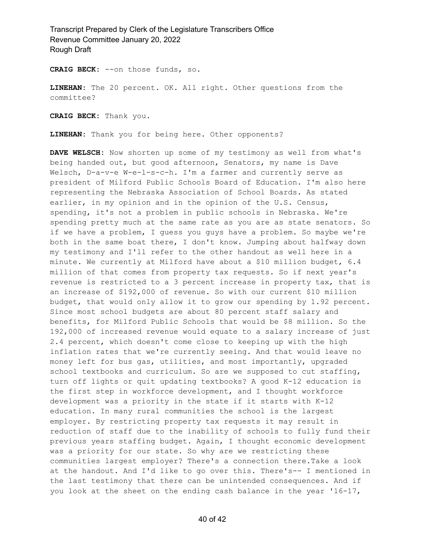**CRAIG BECK:** --on those funds, so.

**LINEHAN:** The 20 percent. OK. All right. Other questions from the committee?

**CRAIG BECK:** Thank you.

**LINEHAN:** Thank you for being here. Other opponents?

**DAVE WELSCH:** Now shorten up some of my testimony as well from what's being handed out, but good afternoon, Senators, my name is Dave Welsch, D-a-v-e W-e-l-s-c-h. I'm a farmer and currently serve as president of Milford Public Schools Board of Education. I'm also here representing the Nebraska Association of School Boards. As stated earlier, in my opinion and in the opinion of the U.S. Census, spending, it's not a problem in public schools in Nebraska. We're spending pretty much at the same rate as you are as state senators. So if we have a problem, I guess you guys have a problem. So maybe we're both in the same boat there, I don't know. Jumping about halfway down my testimony and I'll refer to the other handout as well here in a minute. We currently at Milford have about a \$10 million budget, 6.4 million of that comes from property tax requests. So if next year's revenue is restricted to a 3 percent increase in property tax, that is an increase of \$192,000 of revenue. So with our current \$10 million budget, that would only allow it to grow our spending by 1.92 percent. Since most school budgets are about 80 percent staff salary and benefits, for Milford Public Schools that would be \$8 million. So the 192,000 of increased revenue would equate to a salary increase of just 2.4 percent, which doesn't come close to keeping up with the high inflation rates that we're currently seeing. And that would leave no money left for bus gas, utilities, and most importantly, upgraded school textbooks and curriculum. So are we supposed to cut staffing, turn off lights or quit updating textbooks? A good K-12 education is the first step in workforce development, and I thought workforce development was a priority in the state if it starts with K-12 education. In many rural communities the school is the largest employer. By restricting property tax requests it may result in reduction of staff due to the inability of schools to fully fund their previous years staffing budget. Again, I thought economic development was a priority for our state. So why are we restricting these communities largest employer? There's a connection there.Take a look at the handout. And I'd like to go over this. There's-- I mentioned in the last testimony that there can be unintended consequences. And if you look at the sheet on the ending cash balance in the year '16-17,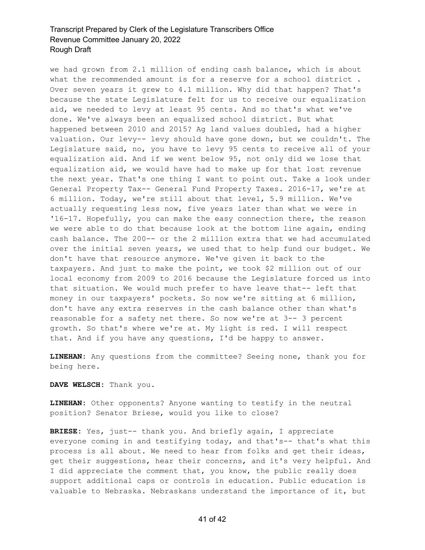we had grown from 2.1 million of ending cash balance, which is about what the recommended amount is for a reserve for a school district. Over seven years it grew to 4.1 million. Why did that happen? That's because the state Legislature felt for us to receive our equalization aid, we needed to levy at least 95 cents. And so that's what we've done. We've always been an equalized school district. But what happened between 2010 and 2015? Ag land values doubled, had a higher valuation. Our levy-- levy should have gone down, but we couldn't. The Legislature said, no, you have to levy 95 cents to receive all of your equalization aid. And if we went below 95, not only did we lose that equalization aid, we would have had to make up for that lost revenue the next year. That's one thing I want to point out. Take a look under General Property Tax-- General Fund Property Taxes. 2016-17, we're at 6 million. Today, we're still about that level, 5.9 million. We've actually requesting less now, five years later than what we were in '16-17. Hopefully, you can make the easy connection there, the reason we were able to do that because look at the bottom line again, ending cash balance. The 200-- or the 2 million extra that we had accumulated over the initial seven years, we used that to help fund our budget. We don't have that resource anymore. We've given it back to the taxpayers. And just to make the point, we took \$2 million out of our local economy from 2009 to 2016 because the Legislature forced us into that situation. We would much prefer to have leave that-- left that money in our taxpayers' pockets. So now we're sitting at 6 million, don't have any extra reserves in the cash balance other than what's reasonable for a safety net there. So now we're at 3-- 3 percent growth. So that's where we're at. My light is red. I will respect that. And if you have any questions, I'd be happy to answer.

**LINEHAN:** Any questions from the committee? Seeing none, thank you for being here.

**DAVE WELSCH:** Thank you.

**LINEHAN:** Other opponents? Anyone wanting to testify in the neutral position? Senator Briese, would you like to close?

**BRIESE:** Yes, just-- thank you. And briefly again, I appreciate everyone coming in and testifying today, and that's-- that's what this process is all about. We need to hear from folks and get their ideas, get their suggestions, hear their concerns, and it's very helpful. And I did appreciate the comment that, you know, the public really does support additional caps or controls in education. Public education is valuable to Nebraska. Nebraskans understand the importance of it, but